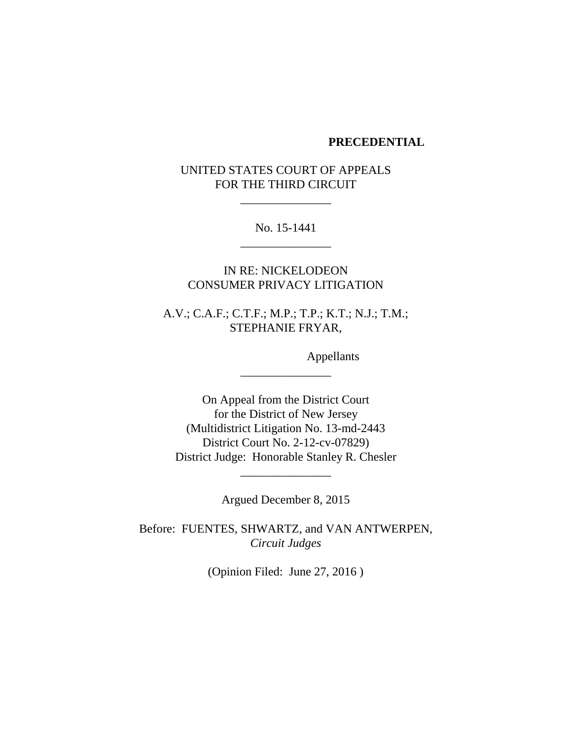#### **PRECEDENTIAL**

UNITED STATES COURT OF APPEALS FOR THE THIRD CIRCUIT

\_\_\_\_\_\_\_\_\_\_\_\_\_\_\_

No. 15-1441 \_\_\_\_\_\_\_\_\_\_\_\_\_\_\_

IN RE: NICKELODEON CONSUMER PRIVACY LITIGATION

A.V.; C.A.F.; C.T.F.; M.P.; T.P.; K.T.; N.J.; T.M.; STEPHANIE FRYAR,

\_\_\_\_\_\_\_\_\_\_\_\_\_\_\_

Appellants

On Appeal from the District Court for the District of New Jersey (Multidistrict Litigation No. 13-md-2443 District Court No. 2-12-cv-07829) District Judge: Honorable Stanley R. Chesler

Argued December 8, 2015

\_\_\_\_\_\_\_\_\_\_\_\_\_\_\_

Before: FUENTES, SHWARTZ, and VAN ANTWERPEN, *Circuit Judges*

(Opinion Filed: June 27, 2016 )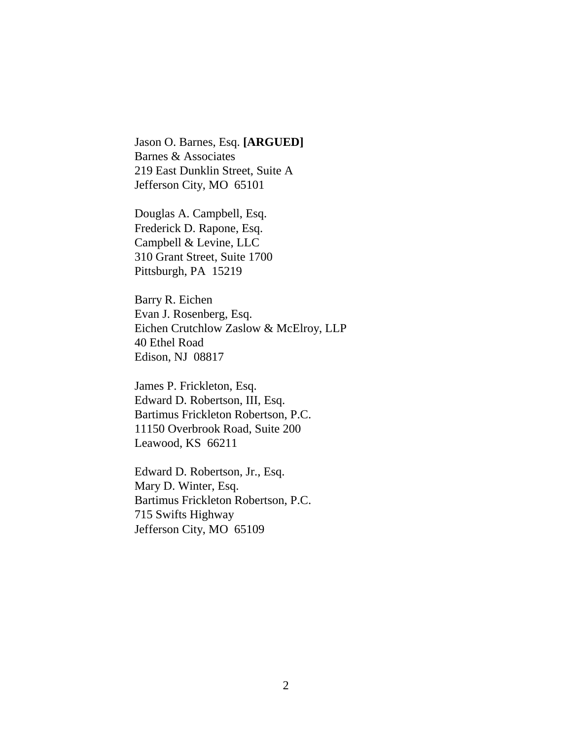Jason O. Barnes, Esq. **[ARGUED]** Barnes & Associates 219 East Dunklin Street, Suite A Jefferson City, MO 65101

Douglas A. Campbell, Esq. Frederick D. Rapone, Esq. Campbell & Levine, LLC 310 Grant Street, Suite 1700 Pittsburgh, PA 15219

Barry R. Eichen Evan J. Rosenberg, Esq. Eichen Crutchlow Zaslow & McElroy, LLP 40 Ethel Road Edison, NJ 08817

James P. Frickleton, Esq. Edward D. Robertson, III, Esq. Bartimus Frickleton Robertson, P.C. 11150 Overbrook Road, Suite 200 Leawood, KS 66211

Edward D. Robertson, Jr., Esq. Mary D. Winter, Esq. Bartimus Frickleton Robertson, P.C. 715 Swifts Highway Jefferson City, MO 65109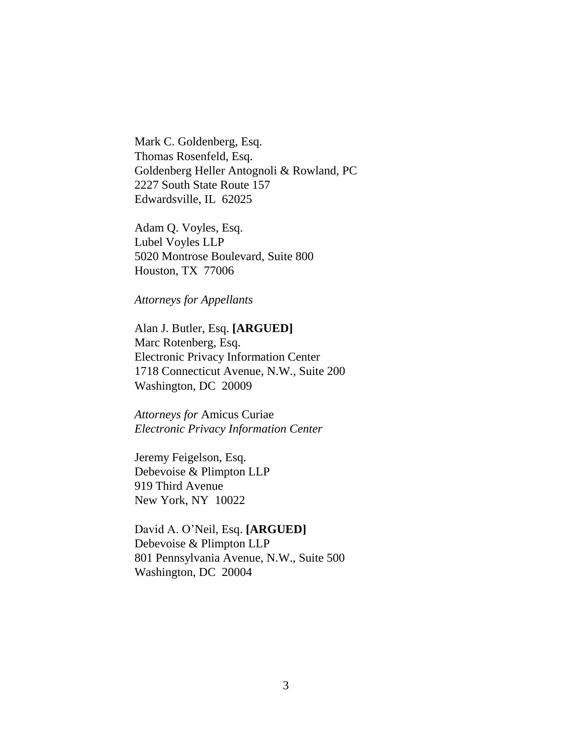Mark C. Goldenberg, Esq. Thomas Rosenfeld, Esq. Goldenberg Heller Antognoli & Rowland, PC 2227 South State Route 157 Edwardsville, IL 62025

Adam Q. Voyles, Esq. Lubel Voyles LLP 5020 Montrose Boulevard, Suite 800 Houston, TX 77006

*Attorneys for Appellants* 

Alan J. Butler, Esq. **[ARGUED]** Marc Rotenberg, Esq. Electronic Privacy Information Center 1718 Connecticut Avenue, N.W., Suite 200 Washington, DC 20009

*Attorneys for* Amicus Curiae *Electronic Privacy Information Center* 

Jeremy Feigelson, Esq. Debevoise & Plimpton LLP 919 Third Avenue New York, NY 10022

David A. O'Neil, Esq. **[ARGUED]** Debevoise & Plimpton LLP 801 Pennsylvania Avenue, N.W., Suite 500 Washington, DC 20004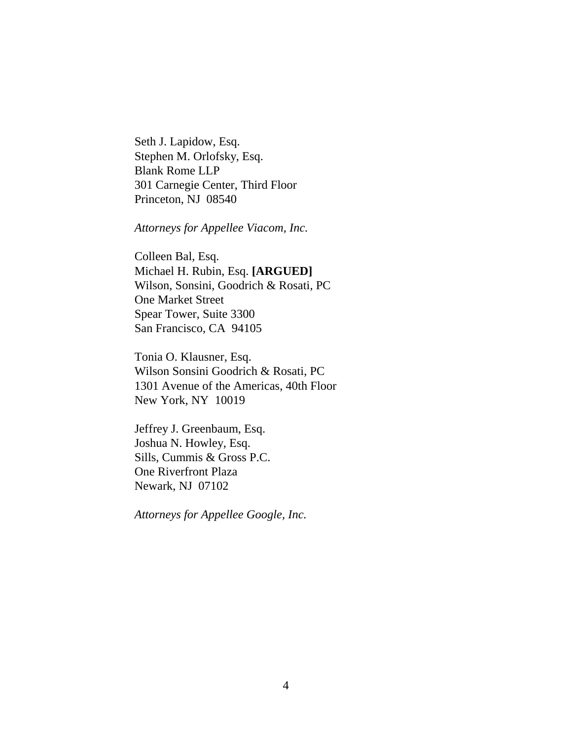Seth J. Lapidow, Esq. Stephen M. Orlofsky, Esq. Blank Rome LLP 301 Carnegie Center, Third Floor Princeton, NJ 08540

*Attorneys for Appellee Viacom, Inc.*

Colleen Bal, Esq. Michael H. Rubin, Esq. **[ARGUED]** Wilson, Sonsini, Goodrich & Rosati, PC One Market Street Spear Tower, Suite 3300 San Francisco, CA 94105

Tonia O. Klausner, Esq. Wilson Sonsini Goodrich & Rosati, PC 1301 Avenue of the Americas, 40th Floor New York, NY 10019

Jeffrey J. Greenbaum, Esq. Joshua N. Howley, Esq. Sills, Cummis & Gross P.C. One Riverfront Plaza Newark, NJ 07102

*Attorneys for Appellee Google, Inc.*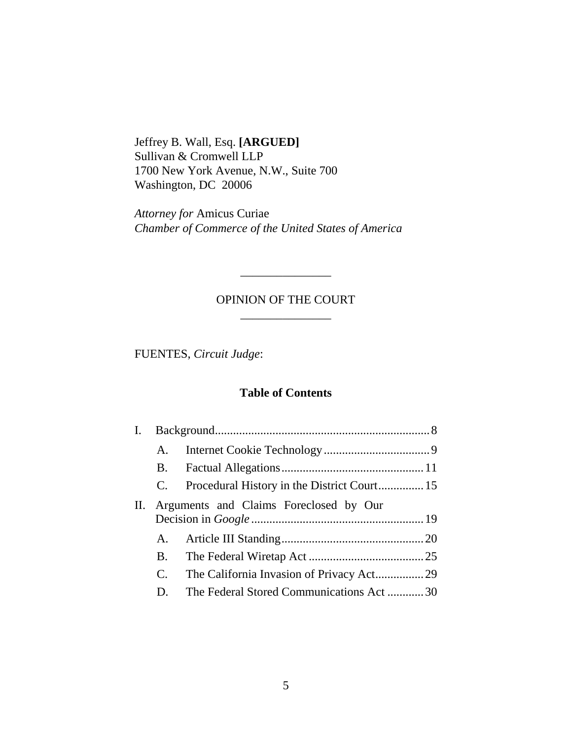Jeffrey B. Wall, Esq. **[ARGUED]** Sullivan & Cromwell LLP 1700 New York Avenue, N.W., Suite 700 Washington, DC 20006

*Attorney for* Amicus Curiae *Chamber of Commerce of the United States of America*

# OPINION OF THE COURT \_\_\_\_\_\_\_\_\_\_\_\_\_\_\_

\_\_\_\_\_\_\_\_\_\_\_\_\_\_\_

FUENTES, *Circuit Judge*:

### **Table of Contents**

|    | А.                                     |                                          |  |  |  |
|----|----------------------------------------|------------------------------------------|--|--|--|
|    | <b>B.</b>                              |                                          |  |  |  |
|    | C.                                     |                                          |  |  |  |
| П. | Arguments and Claims Foreclosed by Our |                                          |  |  |  |
|    |                                        |                                          |  |  |  |
|    |                                        |                                          |  |  |  |
|    |                                        |                                          |  |  |  |
|    | C.                                     | The California Invasion of Privacy Act29 |  |  |  |
|    | D.                                     | The Federal Stored Communications Act30  |  |  |  |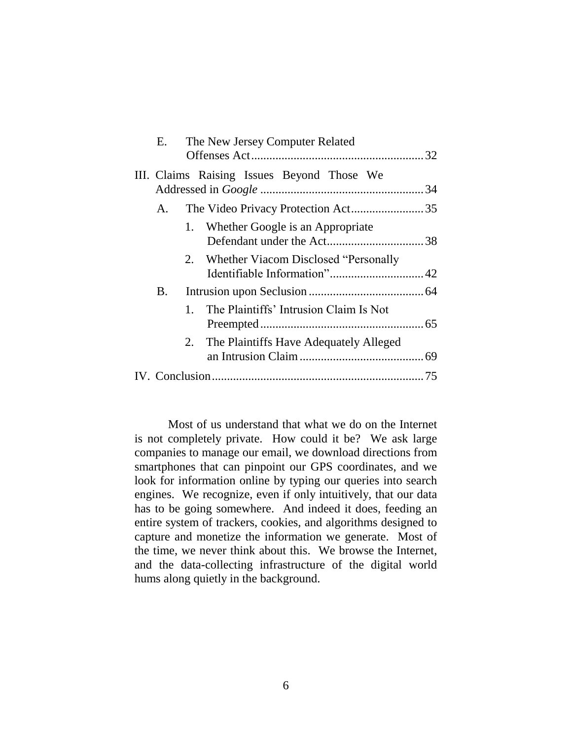| The New Jersey Computer Related<br>Е. |         |                                            |  |  |
|---------------------------------------|---------|--------------------------------------------|--|--|
|                                       |         | III. Claims Raising Issues Beyond Those We |  |  |
| $\mathsf{A}_{\cdot}$                  |         | The Video Privacy Protection Act35         |  |  |
|                                       |         | 1. Whether Google is an Appropriate        |  |  |
|                                       |         | 2. Whether Viacom Disclosed "Personally"   |  |  |
| B.                                    |         |                                            |  |  |
|                                       | $1_{-}$ | The Plaintiffs' Intrusion Claim Is Not     |  |  |
|                                       | 2.      | The Plaintiffs Have Adequately Alleged     |  |  |
|                                       |         |                                            |  |  |
|                                       |         |                                            |  |  |

Most of us understand that what we do on the Internet is not completely private. How could it be? We ask large companies to manage our email, we download directions from smartphones that can pinpoint our GPS coordinates, and we look for information online by typing our queries into search engines. We recognize, even if only intuitively, that our data has to be going somewhere. And indeed it does, feeding an entire system of trackers, cookies, and algorithms designed to capture and monetize the information we generate. Most of the time, we never think about this. We browse the Internet, and the data-collecting infrastructure of the digital world hums along quietly in the background.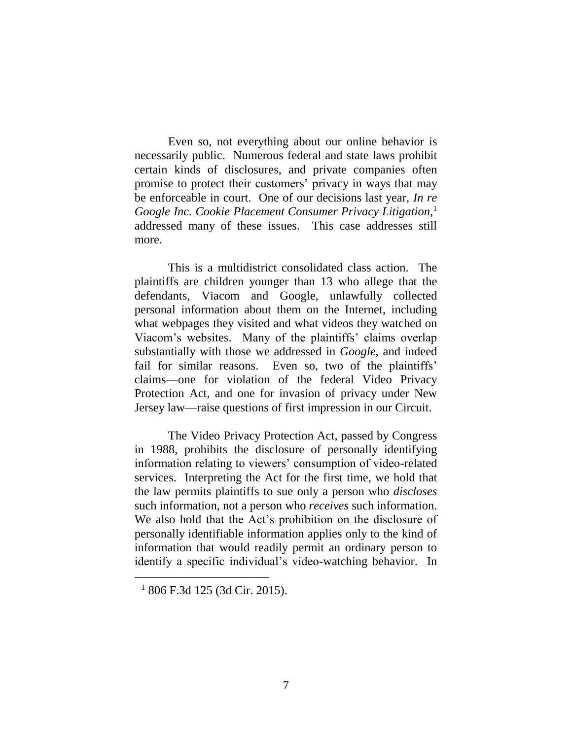Even so, not everything about our online behavior is necessarily public. Numerous federal and state laws prohibit certain kinds of disclosures, and private companies often promise to protect their customers' privacy in ways that may be enforceable in court. One of our decisions last year, *In re Google Inc. Cookie Placement Consumer Privacy Litigation*, 1 addressed many of these issues. This case addresses still more.

This is a multidistrict consolidated class action. The plaintiffs are children younger than 13 who allege that the defendants, Viacom and Google, unlawfully collected personal information about them on the Internet, including what webpages they visited and what videos they watched on Viacom's websites. Many of the plaintiffs' claims overlap substantially with those we addressed in *Google*, and indeed fail for similar reasons. Even so, two of the plaintiffs' claims—one for violation of the federal Video Privacy Protection Act, and one for invasion of privacy under New Jersey law—raise questions of first impression in our Circuit.

The Video Privacy Protection Act, passed by Congress in 1988, prohibits the disclosure of personally identifying information relating to viewers' consumption of video-related services. Interpreting the Act for the first time, we hold that the law permits plaintiffs to sue only a person who *discloses* such information, not a person who *receives* such information. We also hold that the Act's prohibition on the disclosure of personally identifiable information applies only to the kind of information that would readily permit an ordinary person to identify a specific individual's video-watching behavior. In

 $1806$  F.3d 125 (3d Cir. 2015).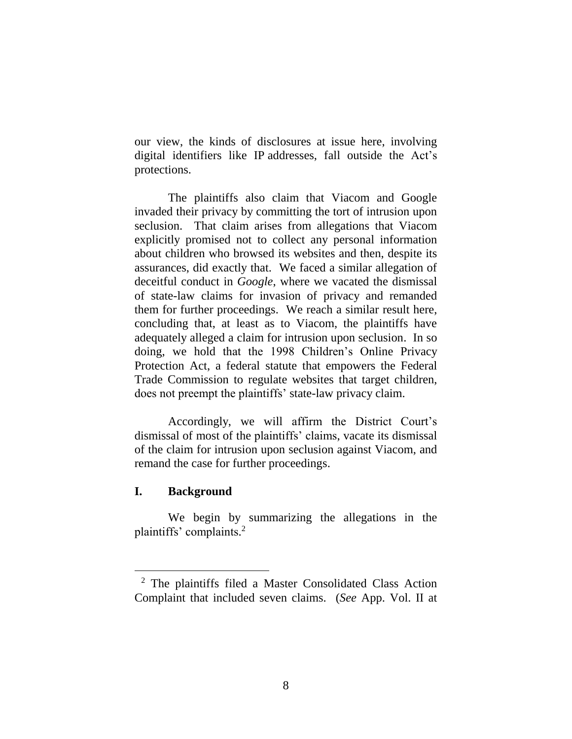our view, the kinds of disclosures at issue here, involving digital identifiers like IP addresses, fall outside the Act's protections.

The plaintiffs also claim that Viacom and Google invaded their privacy by committing the tort of intrusion upon seclusion. That claim arises from allegations that Viacom explicitly promised not to collect any personal information about children who browsed its websites and then, despite its assurances, did exactly that. We faced a similar allegation of deceitful conduct in *Google*, where we vacated the dismissal of state-law claims for invasion of privacy and remanded them for further proceedings. We reach a similar result here, concluding that, at least as to Viacom, the plaintiffs have adequately alleged a claim for intrusion upon seclusion. In so doing, we hold that the 1998 Children's Online Privacy Protection Act, a federal statute that empowers the Federal Trade Commission to regulate websites that target children, does not preempt the plaintiffs' state-law privacy claim.

Accordingly, we will affirm the District Court's dismissal of most of the plaintiffs' claims, vacate its dismissal of the claim for intrusion upon seclusion against Viacom, and remand the case for further proceedings.

# **I. Background**

 $\overline{a}$ 

We begin by summarizing the allegations in the plaintiffs' complaints. 2

<sup>2</sup> The plaintiffs filed a Master Consolidated Class Action Complaint that included seven claims. (*See* App. Vol. II at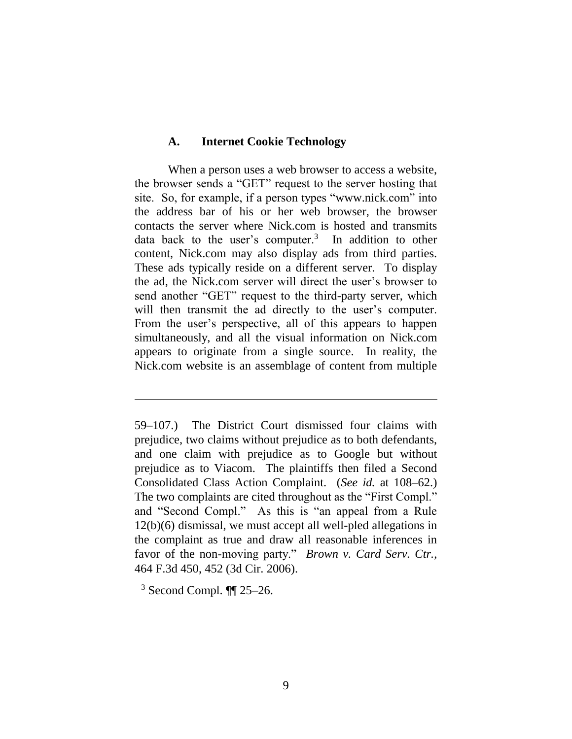#### **A. Internet Cookie Technology**

When a person uses a web browser to access a website, the browser sends a "GET" request to the server hosting that site. So, for example, if a person types "www.nick.com" into the address bar of his or her web browser, the browser contacts the server where Nick.com is hosted and transmits data back to the user's computer. $3$  In addition to other content, Nick.com may also display ads from third parties. These ads typically reside on a different server. To display the ad, the Nick.com server will direct the user's browser to send another "GET" request to the third-party server, which will then transmit the ad directly to the user's computer. From the user's perspective, all of this appears to happen simultaneously, and all the visual information on Nick.com appears to originate from a single source. In reality, the Nick.com website is an assemblage of content from multiple

 $3$  Second Compl.  $\P$  25–26.

<sup>59–107.)</sup> The District Court dismissed four claims with prejudice, two claims without prejudice as to both defendants, and one claim with prejudice as to Google but without prejudice as to Viacom. The plaintiffs then filed a Second Consolidated Class Action Complaint. (*See id.* at 108–62.) The two complaints are cited throughout as the "First Compl." and "Second Compl." As this is "an appeal from a Rule 12(b)(6) dismissal, we must accept all well-pled allegations in the complaint as true and draw all reasonable inferences in favor of the non-moving party." *Brown v. Card Serv. Ctr.*, 464 F.3d 450, 452 (3d Cir. 2006).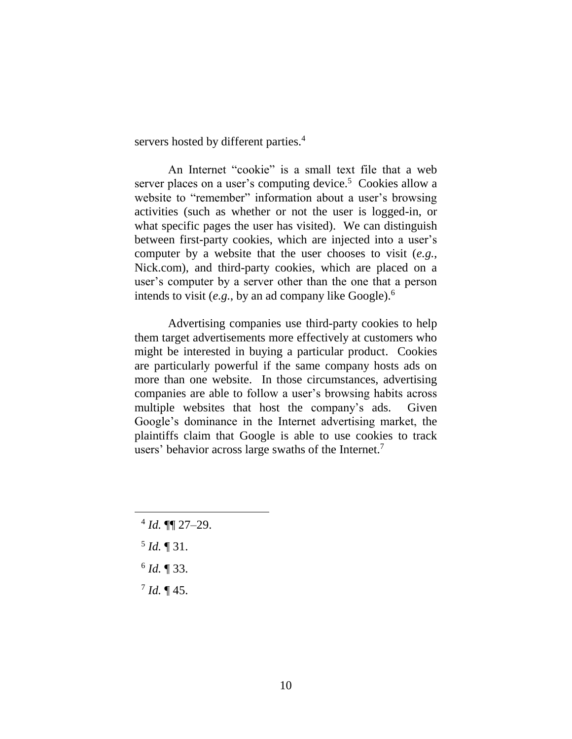servers hosted by different parties.<sup>4</sup>

An Internet "cookie" is a small text file that a web server places on a user's computing device.<sup>5</sup> Cookies allow a website to "remember" information about a user's browsing activities (such as whether or not the user is logged-in, or what specific pages the user has visited). We can distinguish between first-party cookies, which are injected into a user's computer by a website that the user chooses to visit (*e.g.*, Nick.com), and third-party cookies, which are placed on a user's computer by a server other than the one that a person intends to visit (*e.g.*, by an ad company like Google). 6

Advertising companies use third-party cookies to help them target advertisements more effectively at customers who might be interested in buying a particular product. Cookies are particularly powerful if the same company hosts ads on more than one website. In those circumstances, advertising companies are able to follow a user's browsing habits across multiple websites that host the company's ads. Given Google's dominance in the Internet advertising market, the plaintiffs claim that Google is able to use cookies to track users' behavior across large swaths of the Internet.<sup>7</sup>

- 4 *Id.* ¶¶ 27–29.
- 5 *Id.* ¶ 31.

- 6 *Id.* ¶ 33.
- $^{7}$  *Id.* ¶ 45.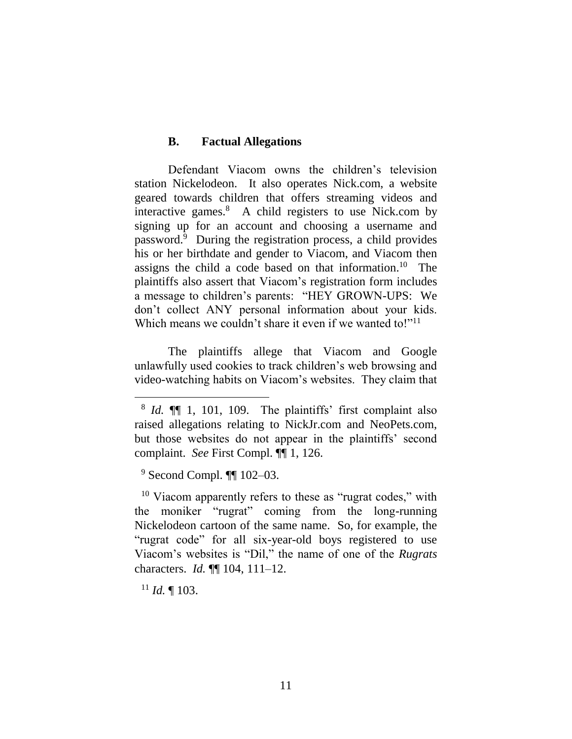#### **B. Factual Allegations**

Defendant Viacom owns the children's television station Nickelodeon. It also operates Nick.com, a website geared towards children that offers streaming videos and interactive games.<sup>8</sup> A child registers to use Nick.com by signing up for an account and choosing a username and password.<sup>9</sup> During the registration process, a child provides his or her birthdate and gender to Viacom, and Viacom then assigns the child a code based on that information. 10 The plaintiffs also assert that Viacom's registration form includes a message to children's parents: "HEY GROWN-UPS: We don't collect ANY personal information about your kids. Which means we couldn't share it even if we wanted to!"<sup>11</sup>

The plaintiffs allege that Viacom and Google unlawfully used cookies to track children's web browsing and video-watching habits on Viacom's websites. They claim that

<sup>9</sup> Second Compl. ¶¶ 102–03.

<sup>10</sup> Viacom apparently refers to these as "rugrat codes," with the moniker "rugrat" coming from the long-running Nickelodeon cartoon of the same name. So, for example, the "rugrat code" for all six-year-old boys registered to use Viacom's websites is "Dil," the name of one of the *Rugrats*  characters. *Id.* ¶¶ 104, 111–12.

 $11$  *Id.* 103.

<sup>8</sup> *Id.* ¶¶ 1, 101, 109. The plaintiffs' first complaint also raised allegations relating to NickJr.com and NeoPets.com, but those websites do not appear in the plaintiffs' second complaint. *See* First Compl. ¶¶ 1, 126.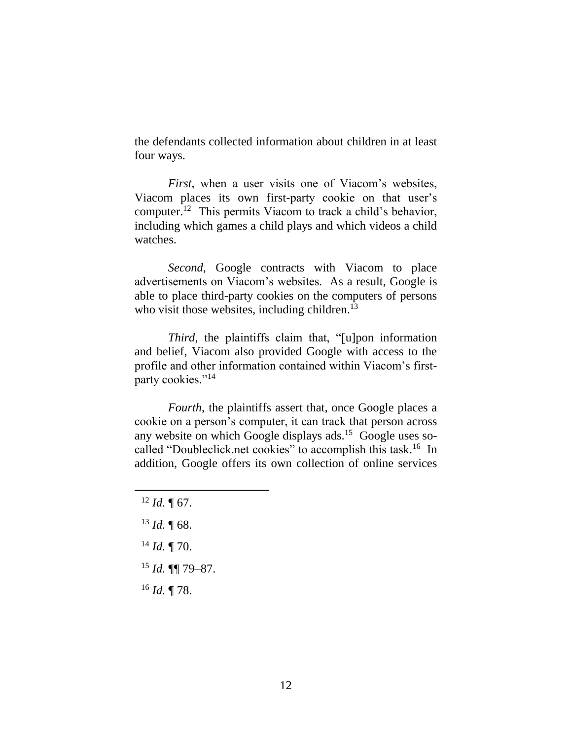the defendants collected information about children in at least four ways.

*First*, when a user visits one of Viacom's websites, Viacom places its own first-party cookie on that user's computer.<sup>12</sup> This permits Viacom to track a child's behavior, including which games a child plays and which videos a child watches.

*Second*, Google contracts with Viacom to place advertisements on Viacom's websites. As a result, Google is able to place third-party cookies on the computers of persons who visit those websites, including children.<sup>13</sup>

*Third*, the plaintiffs claim that, "[u]pon information and belief, Viacom also provided Google with access to the profile and other information contained within Viacom's firstparty cookies."<sup>14</sup>

*Fourth*, the plaintiffs assert that, once Google places a cookie on a person's computer, it can track that person across any website on which Google displays ads.<sup>15</sup> Google uses socalled "Doubleclick net cookies" to accomplish this task.<sup>16</sup> In addition, Google offers its own collection of online services

- <sup>13</sup> *Id.* ¶ 68.
- <sup>14</sup> *Id.* ¶ 70.
- <sup>15</sup> *Id.* ¶¶ 79–87.
- <sup>16</sup> *Id.* ¶ 78.

 $12$  *Id.*  $\text{T}$  67.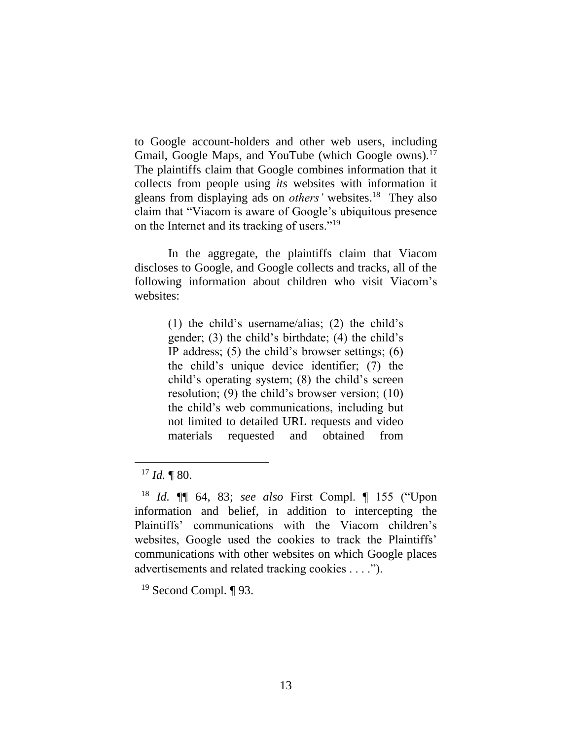to Google account-holders and other web users, including Gmail, Google Maps, and YouTube (which Google owns).<sup>17</sup> The plaintiffs claim that Google combines information that it collects from people using *its* websites with information it gleans from displaying ads on *others'* websites.<sup>18</sup> They also claim that "Viacom is aware of Google's ubiquitous presence on the Internet and its tracking of users."<sup>19</sup>

In the aggregate, the plaintiffs claim that Viacom discloses to Google, and Google collects and tracks, all of the following information about children who visit Viacom's websites:

> (1) the child's username/alias; (2) the child's gender; (3) the child's birthdate; (4) the child's IP address;  $(5)$  the child's browser settings;  $(6)$ the child's unique device identifier; (7) the child's operating system; (8) the child's screen resolution; (9) the child's browser version; (10) the child's web communications, including but not limited to detailed URL requests and video materials requested and obtained from

 $17$  *Id.* ¶ 80.

<sup>18</sup> *Id.* ¶¶ 64, 83; *see also* First Compl. ¶ 155 ("Upon information and belief, in addition to intercepting the Plaintiffs' communications with the Viacom children's websites, Google used the cookies to track the Plaintiffs' communications with other websites on which Google places advertisements and related tracking cookies . . . .").

 $19$  Second Compl. ¶ 93.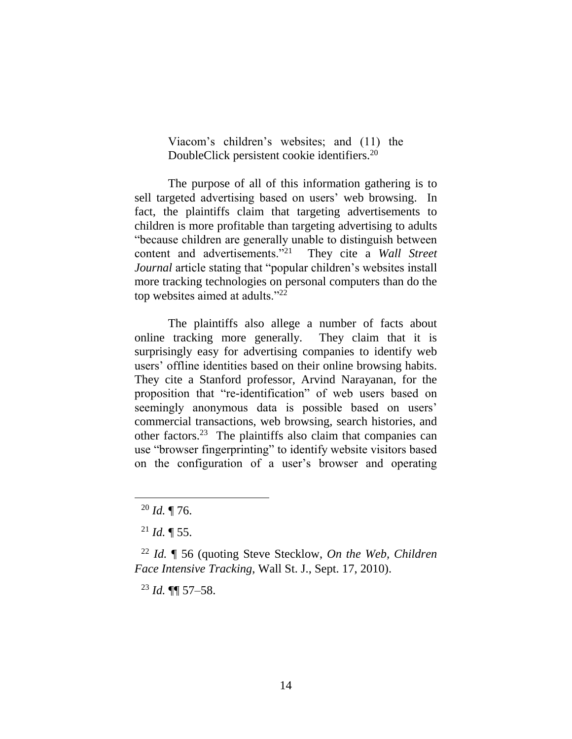Viacom's children's websites; and (11) the DoubleClick persistent cookie identifiers. 20

The purpose of all of this information gathering is to sell targeted advertising based on users' web browsing. In fact, the plaintiffs claim that targeting advertisements to children is more profitable than targeting advertising to adults "because children are generally unable to distinguish between content and advertisements."<sup>21</sup> They cite a *Wall Street Journal* article stating that "popular children's websites install more tracking technologies on personal computers than do the top websites aimed at adults."<sup>22</sup>

The plaintiffs also allege a number of facts about online tracking more generally. They claim that it is surprisingly easy for advertising companies to identify web users' offline identities based on their online browsing habits. They cite a Stanford professor, Arvind Narayanan, for the proposition that "re-identification" of web users based on seemingly anonymous data is possible based on users' commercial transactions, web browsing, search histories, and other factors.<sup>23</sup> The plaintiffs also claim that companies can use "browser fingerprinting" to identify website visitors based on the configuration of a user's browser and operating

<sup>20</sup> *Id.* ¶ 76.

 $^{21}$  *Id.* ¶ 55.

<sup>22</sup> *Id.* ¶ 56 (quoting Steve Stecklow, *On the Web, Children Face Intensive Tracking*, Wall St. J., Sept. 17, 2010).

<sup>23</sup> *Id.* ¶¶ 57–58.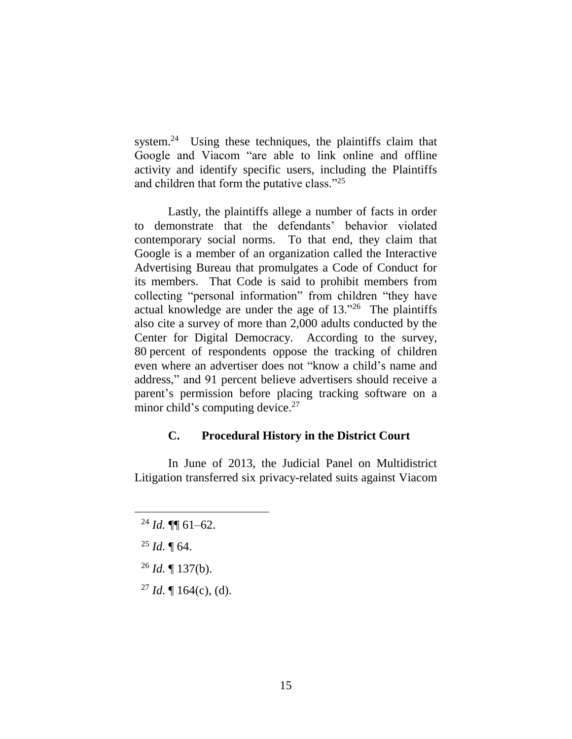system.<sup>24</sup> Using these techniques, the plaintiffs claim that Google and Viacom "are able to link online and offline activity and identify specific users, including the Plaintiffs and children that form the putative class."<sup>25</sup>

Lastly, the plaintiffs allege a number of facts in order to demonstrate that the defendants' behavior violated contemporary social norms. To that end, they claim that Google is a member of an organization called the Interactive Advertising Bureau that promulgates a Code of Conduct for its members. That Code is said to prohibit members from collecting "personal information" from children "they have actual knowledge are under the age of 13."<sup>26</sup> The plaintiffs also cite a survey of more than 2,000 adults conducted by the Center for Digital Democracy. According to the survey, 80 percent of respondents oppose the tracking of children even where an advertiser does not "know a child's name and address," and 91 percent believe advertisers should receive a parent's permission before placing tracking software on a minor child's computing device.<sup>27</sup>

#### **C. Procedural History in the District Court**

In June of 2013, the Judicial Panel on Multidistrict Litigation transferred six privacy-related suits against Viacom

 $^{24}$  *Id.*  $\P\P$  61–62.

<sup>25</sup> *Id.* ¶ 64.

<sup>26</sup> *Id.* ¶ 137(b).

<sup>&</sup>lt;sup>27</sup> *Id.* ¶ 164(c), (d).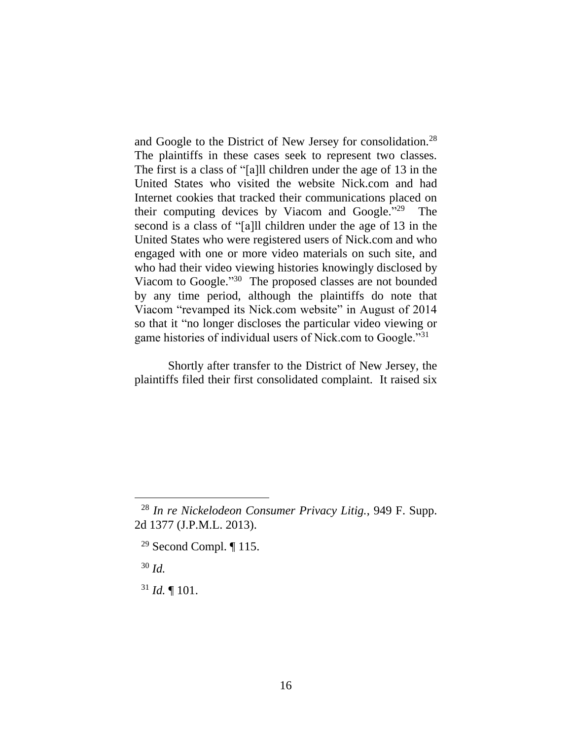and Google to the District of New Jersey for consolidation.<sup>28</sup> The plaintiffs in these cases seek to represent two classes. The first is a class of "[a]ll children under the age of 13 in the United States who visited the website Nick.com and had Internet cookies that tracked their communications placed on their computing devices by Viacom and Google." 29 The second is a class of "[a]ll children under the age of 13 in the United States who were registered users of Nick.com and who engaged with one or more video materials on such site, and who had their video viewing histories knowingly disclosed by Viacom to Google."<sup>30</sup> The proposed classes are not bounded by any time period, although the plaintiffs do note that Viacom "revamped its Nick.com website" in August of 2014 so that it "no longer discloses the particular video viewing or game histories of individual users of Nick.com to Google."<sup>31</sup>

Shortly after transfer to the District of New Jersey, the plaintiffs filed their first consolidated complaint. It raised six

<sup>29</sup> Second Compl.  $\P$  115.

<sup>30</sup> *Id.*

 $\overline{a}$ 

 $31$  *Id.*  $\text{I}$  101.

<sup>28</sup> *In re Nickelodeon Consumer Privacy Litig.*, 949 F. Supp. 2d 1377 (J.P.M.L. 2013).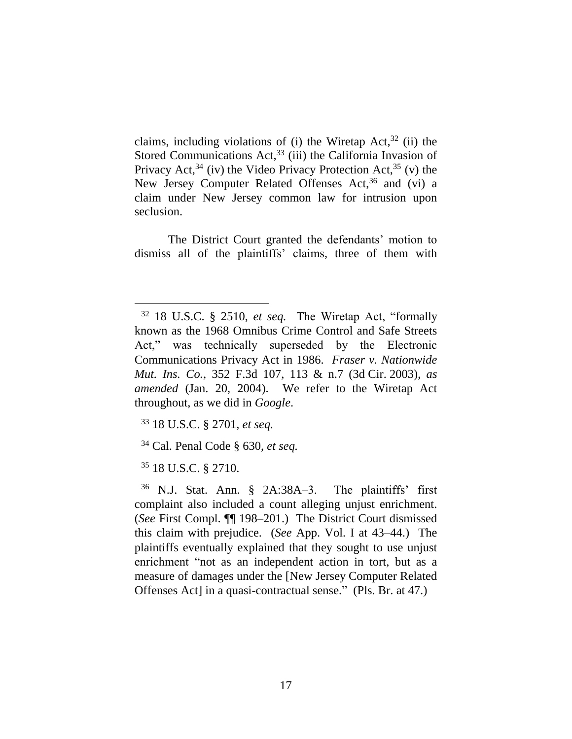claims, including violations of (i) the Wiretap Act,  $32$  (ii) the Stored Communications Act,<sup>33</sup> (iii) the California Invasion of Privacy Act,  $34$  (iv) the Video Privacy Protection Act,  $35$  (v) the New Jersey Computer Related Offenses Act,<sup>36</sup> and (vi) a claim under New Jersey common law for intrusion upon seclusion.

The District Court granted the defendants' motion to dismiss all of the plaintiffs' claims, three of them with

- <sup>33</sup> 18 U.S.C. § 2701, *et seq.*
- <sup>34</sup> Cal. Penal Code § 630, *et seq.*
- <sup>35</sup> 18 U.S.C. § 2710.

<sup>32</sup> 18 U.S.C. § 2510, *et seq.* The Wiretap Act, "formally known as the 1968 Omnibus Crime Control and Safe Streets Act," was technically superseded by the Electronic Communications Privacy Act in 1986. *Fraser v. Nationwide Mut. Ins. Co.*, 352 F.3d 107, 113 & n.7 (3d Cir. 2003), *as amended* (Jan. 20, 2004). We refer to the Wiretap Act throughout, as we did in *Google*.

<sup>36</sup> N.J. Stat. Ann. § 2A:38A–3. The plaintiffs' first complaint also included a count alleging unjust enrichment. (*See* First Compl. ¶¶ 198–201.) The District Court dismissed this claim with prejudice. (*See* App. Vol. I at 43–44.) The plaintiffs eventually explained that they sought to use unjust enrichment "not as an independent action in tort, but as a measure of damages under the [New Jersey Computer Related Offenses Act] in a quasi-contractual sense." (Pls. Br. at 47.)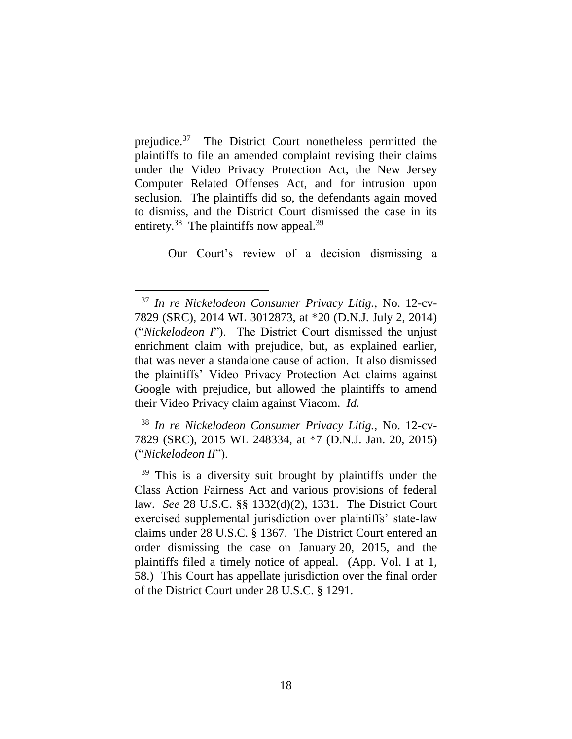prejudice.<sup>37</sup> The District Court nonetheless permitted the plaintiffs to file an amended complaint revising their claims under the Video Privacy Protection Act, the New Jersey Computer Related Offenses Act, and for intrusion upon seclusion. The plaintiffs did so, the defendants again moved to dismiss, and the District Court dismissed the case in its entirety.<sup>38</sup> The plaintiffs now appeal.<sup>39</sup>

Our Court's review of a decision dismissing a

 $\overline{a}$ 

<sup>38</sup> *In re Nickelodeon Consumer Privacy Litig.*, No. 12-cv-7829 (SRC), 2015 WL 248334, at \*7 (D.N.J. Jan. 20, 2015) ("*Nickelodeon II*").

<sup>37</sup> *In re Nickelodeon Consumer Privacy Litig.*, No. 12-cv-7829 (SRC), 2014 WL 3012873, at \*20 (D.N.J. July 2, 2014) ("*Nickelodeon I*"). The District Court dismissed the unjust enrichment claim with prejudice, but, as explained earlier, that was never a standalone cause of action. It also dismissed the plaintiffs' Video Privacy Protection Act claims against Google with prejudice, but allowed the plaintiffs to amend their Video Privacy claim against Viacom. *Id.*

<sup>&</sup>lt;sup>39</sup> This is a diversity suit brought by plaintiffs under the Class Action Fairness Act and various provisions of federal law. *See* 28 U.S.C. §§ 1332(d)(2), 1331. The District Court exercised supplemental jurisdiction over plaintiffs' state-law claims under 28 U.S.C. § 1367. The District Court entered an order dismissing the case on January 20, 2015, and the plaintiffs filed a timely notice of appeal. (App. Vol. I at 1, 58.) This Court has appellate jurisdiction over the final order of the District Court under 28 U.S.C. § 1291.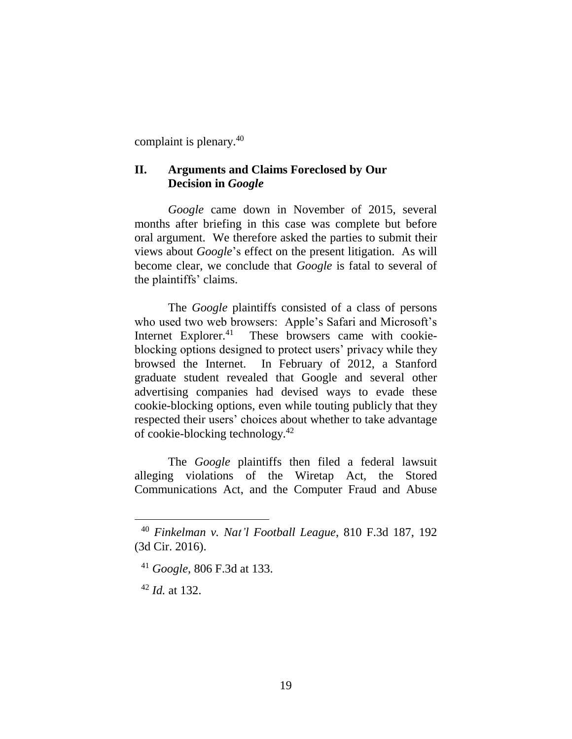complaint is plenary.<sup>40</sup>

# **II. Arguments and Claims Foreclosed by Our Decision in** *Google*

*Google* came down in November of 2015, several months after briefing in this case was complete but before oral argument. We therefore asked the parties to submit their views about *Google*'s effect on the present litigation. As will become clear, we conclude that *Google* is fatal to several of the plaintiffs' claims.

The *Google* plaintiffs consisted of a class of persons who used two web browsers: Apple's Safari and Microsoft's Internet Explorer.<sup>41</sup> These browsers came with cookieblocking options designed to protect users' privacy while they browsed the Internet. In February of 2012, a Stanford graduate student revealed that Google and several other advertising companies had devised ways to evade these cookie-blocking options, even while touting publicly that they respected their users' choices about whether to take advantage of cookie-blocking technology.<sup>42</sup>

The *Google* plaintiffs then filed a federal lawsuit alleging violations of the Wiretap Act, the Stored Communications Act, and the Computer Fraud and Abuse

<sup>42</sup> *Id.* at 132.

<sup>40</sup> *Finkelman v. Nat'l Football League*, 810 F.3d 187, 192 (3d Cir. 2016).

<sup>41</sup> *Google*, 806 F.3d at 133.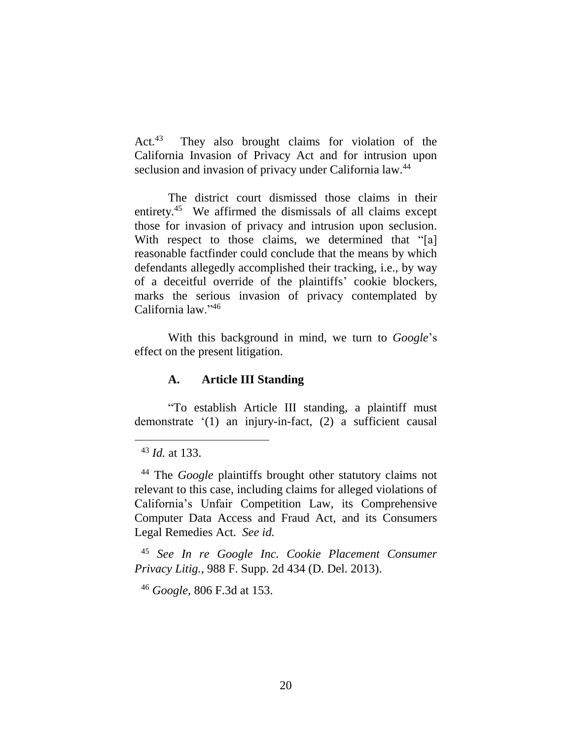$Act.<sup>43</sup>$  They also brought claims for violation of the California Invasion of Privacy Act and for intrusion upon seclusion and invasion of privacy under California law.<sup>44</sup>

The district court dismissed those claims in their entirety.<sup>45</sup> We affirmed the dismissals of all claims except those for invasion of privacy and intrusion upon seclusion. With respect to those claims, we determined that "[a] reasonable factfinder could conclude that the means by which defendants allegedly accomplished their tracking, i.e., by way of a deceitful override of the plaintiffs' cookie blockers, marks the serious invasion of privacy contemplated by California law."<sup>46</sup>

With this background in mind, we turn to *Google*'s effect on the present litigation.

# **A. Article III Standing**

"To establish Article III standing, a plaintiff must demonstrate '(1) an injury-in-fact, (2) a sufficient causal

 $\overline{a}$ 

<sup>45</sup> *See In re Google Inc. Cookie Placement Consumer Privacy Litig.*, 988 F. Supp. 2d 434 (D. Del. 2013).

<sup>46</sup> *Google*, 806 F.3d at 153.

<sup>43</sup> *Id.* at 133.

<sup>44</sup> The *Google* plaintiffs brought other statutory claims not relevant to this case, including claims for alleged violations of California's Unfair Competition Law, its Comprehensive Computer Data Access and Fraud Act, and its Consumers Legal Remedies Act. *See id.*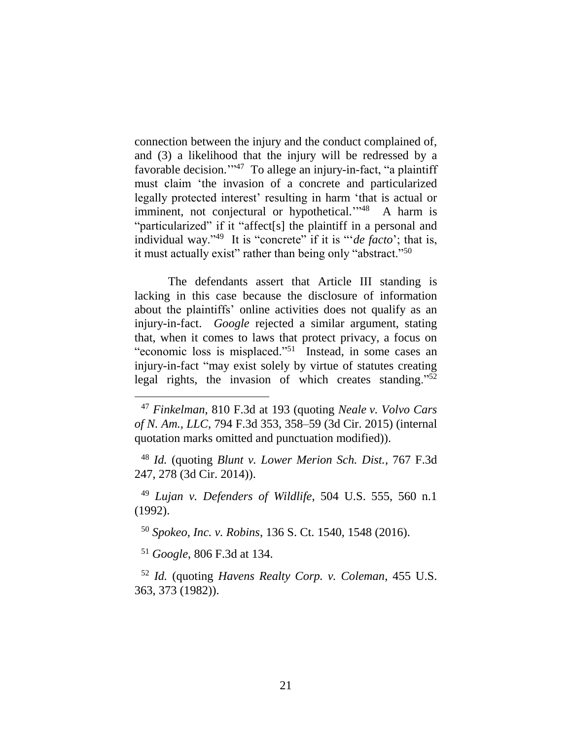connection between the injury and the conduct complained of, and (3) a likelihood that the injury will be redressed by a favorable decision."<sup>47</sup> To allege an injury-in-fact, "a plaintiff must claim 'the invasion of a concrete and particularized legally protected interest' resulting in harm 'that is actual or imminent, not conjectural or hypothetical."<sup>48</sup> A harm is "particularized" if it "affect[s] the plaintiff in a personal and individual way."<sup>49</sup> It is "concrete" if it is "'*de facto*'; that is, it must actually exist" rather than being only "abstract."<sup>50</sup>

The defendants assert that Article III standing is lacking in this case because the disclosure of information about the plaintiffs' online activities does not qualify as an injury-in-fact. *Google* rejected a similar argument, stating that, when it comes to laws that protect privacy, a focus on "economic loss is misplaced."<sup>51</sup> Instead, in some cases an injury-in-fact "may exist solely by virtue of statutes creating legal rights, the invasion of which creates standing."<sup>52</sup>

<sup>48</sup> *Id.* (quoting *Blunt v. Lower Merion Sch. Dist.*, 767 F.3d 247, 278 (3d Cir. 2014)).

<sup>49</sup> *Lujan v. Defenders of Wildlife*, 504 U.S. 555, 560 n.1 (1992).

<sup>50</sup> *Spokeo, Inc. v. Robins*, 136 S. Ct. 1540, 1548 (2016).

<sup>51</sup> *Google*, 806 F.3d at 134.

 $\overline{a}$ 

<sup>52</sup> *Id.* (quoting *Havens Realty Corp. v. Coleman*, 455 U.S. 363, 373 (1982)).

<sup>47</sup> *Finkelman*, 810 F.3d at 193 (quoting *Neale v. Volvo Cars of N. Am., LLC*, 794 F.3d 353, 358–59 (3d Cir. 2015) (internal quotation marks omitted and punctuation modified)).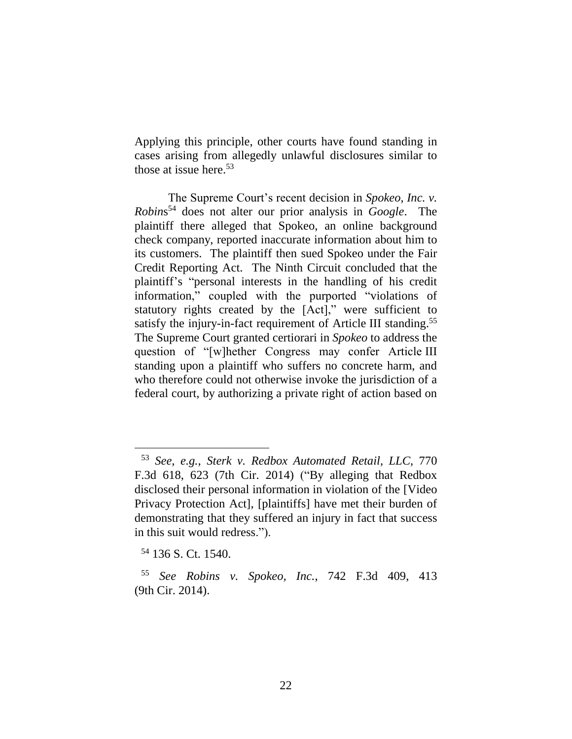Applying this principle, other courts have found standing in cases arising from allegedly unlawful disclosures similar to those at issue here. 53

The Supreme Court's recent decision in *Spokeo, Inc. v. Robin*s <sup>54</sup> does not alter our prior analysis in *Google*. The plaintiff there alleged that Spokeo, an online background check company, reported inaccurate information about him to its customers. The plaintiff then sued Spokeo under the Fair Credit Reporting Act. The Ninth Circuit concluded that the plaintiff's "personal interests in the handling of his credit information," coupled with the purported "violations of statutory rights created by the [Act]," were sufficient to satisfy the injury-in-fact requirement of Article III standing.<sup>55</sup> The Supreme Court granted certiorari in *Spokeo* to address the question of "[w]hether Congress may confer Article III standing upon a plaintiff who suffers no concrete harm, and who therefore could not otherwise invoke the jurisdiction of a federal court, by authorizing a private right of action based on

<sup>53</sup> *See, e.g.*, *Sterk v. Redbox Automated Retail, LLC*, 770 F.3d 618, 623 (7th Cir. 2014) ("By alleging that Redbox disclosed their personal information in violation of the [Video Privacy Protection Act], [plaintiffs] have met their burden of demonstrating that they suffered an injury in fact that success in this suit would redress.").

<sup>54</sup> 136 S. Ct. 1540.

<sup>55</sup> *See Robins v. Spokeo, Inc.*, 742 F.3d 409, 413 (9th Cir. 2014).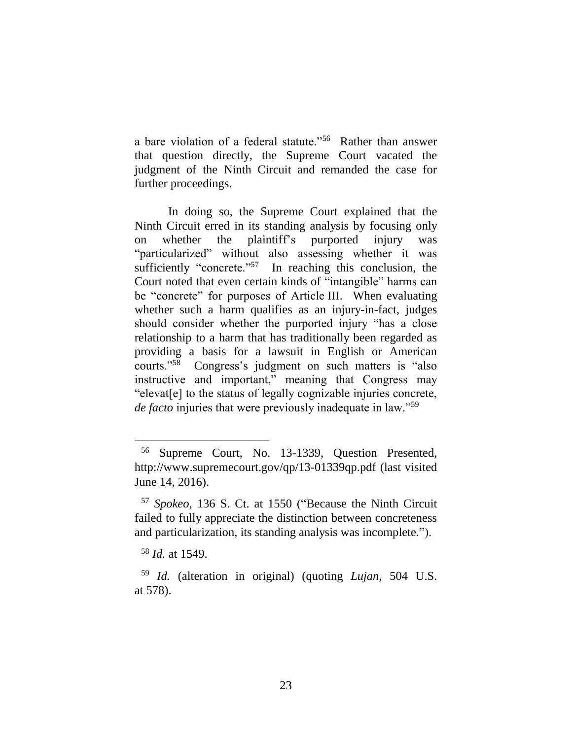a bare violation of a federal statute."<sup>56</sup> Rather than answer that question directly, the Supreme Court vacated the judgment of the Ninth Circuit and remanded the case for further proceedings.

In doing so, the Supreme Court explained that the Ninth Circuit erred in its standing analysis by focusing only on whether the plaintiff's purported injury was "particularized" without also assessing whether it was sufficiently "concrete."<sup>57</sup> In reaching this conclusion, the Court noted that even certain kinds of "intangible" harms can be "concrete" for purposes of Article III. When evaluating whether such a harm qualifies as an injury-in-fact, judges should consider whether the purported injury "has a close relationship to a harm that has traditionally been regarded as providing a basis for a lawsuit in English or American courts."<sup>58</sup> Congress's judgment on such matters is "also instructive and important," meaning that Congress may "elevat[e] to the status of legally cognizable injuries concrete, *de facto* injuries that were previously inadequate in law."<sup>59</sup>

<sup>56</sup> Supreme Court, No. 13-1339, Question Presented, http://www.supremecourt.gov/qp/13-01339qp.pdf (last visited June 14, 2016).

<sup>57</sup> *Spokeo*, 136 S. Ct. at 1550 ("Because the Ninth Circuit failed to fully appreciate the distinction between concreteness and particularization, its standing analysis was incomplete.").

<sup>58</sup> *Id.* at 1549.

<sup>59</sup> *Id.* (alteration in original) (quoting *Lujan*, 504 U.S. at 578).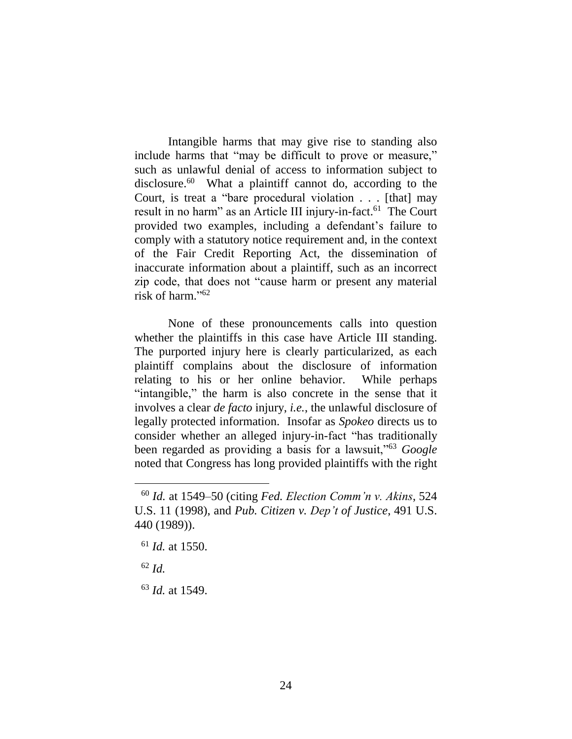Intangible harms that may give rise to standing also include harms that "may be difficult to prove or measure," such as unlawful denial of access to information subject to disclosure.<sup>60</sup> What a plaintiff cannot do, according to the Court, is treat a "bare procedural violation . . . [that] may result in no harm" as an Article III injury-in-fact.<sup>61</sup> The Court provided two examples, including a defendant's failure to comply with a statutory notice requirement and, in the context of the Fair Credit Reporting Act, the dissemination of inaccurate information about a plaintiff, such as an incorrect zip code, that does not "cause harm or present any material risk of harm." 62

None of these pronouncements calls into question whether the plaintiffs in this case have Article III standing. The purported injury here is clearly particularized, as each plaintiff complains about the disclosure of information relating to his or her online behavior. While perhaps "intangible," the harm is also concrete in the sense that it involves a clear *de facto* injury, *i.e.*, the unlawful disclosure of legally protected information. Insofar as *Spokeo* directs us to consider whether an alleged injury-in-fact "has traditionally been regarded as providing a basis for a lawsuit,"<sup>63</sup> *Google*  noted that Congress has long provided plaintiffs with the right

<sup>62</sup> *Id.*

 $\overline{a}$ 

<sup>63</sup> *Id.* at 1549.

<sup>60</sup> *Id.* at 1549–50 (citing *Fed. Election Comm'n v. Akins*, 524 U.S. 11 (1998), and *Pub. Citizen v. Dep't of Justice*, 491 U.S. 440 (1989)).

<sup>61</sup> *Id.* at 1550.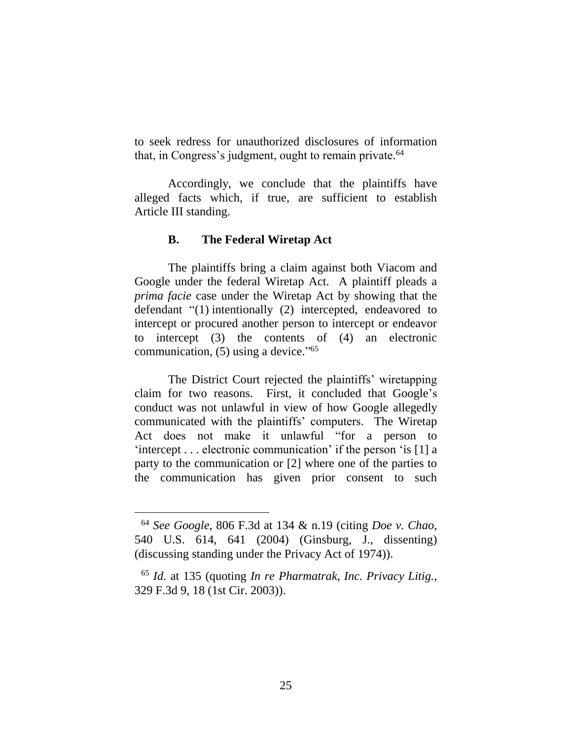to seek redress for unauthorized disclosures of information that, in Congress's judgment, ought to remain private. 64

Accordingly, we conclude that the plaintiffs have alleged facts which, if true, are sufficient to establish Article III standing.

### **B. The Federal Wiretap Act**

The plaintiffs bring a claim against both Viacom and Google under the federal Wiretap Act. A plaintiff pleads a *prima facie* case under the Wiretap Act by showing that the defendant "(1) intentionally (2) intercepted, endeavored to intercept or procured another person to intercept or endeavor to intercept (3) the contents of (4) an electronic communication, (5) using a device." 65

The District Court rejected the plaintiffs' wiretapping claim for two reasons. First, it concluded that Google's conduct was not unlawful in view of how Google allegedly communicated with the plaintiffs' computers. The Wiretap Act does not make it unlawful "for a person to 'intercept . . . electronic communication' if the person 'is [1] a party to the communication or [2] where one of the parties to the communication has given prior consent to such

<sup>64</sup> *See Google*, 806 F.3d at 134 & n.19 (citing *Doe v. Chao*, 540 U.S. 614, 641 (2004) (Ginsburg, J., dissenting) (discussing standing under the Privacy Act of 1974)).

<sup>65</sup> *Id.* at 135 (quoting *In re Pharmatrak, Inc. Privacy Litig.*, 329 F.3d 9, 18 (1st Cir. 2003)).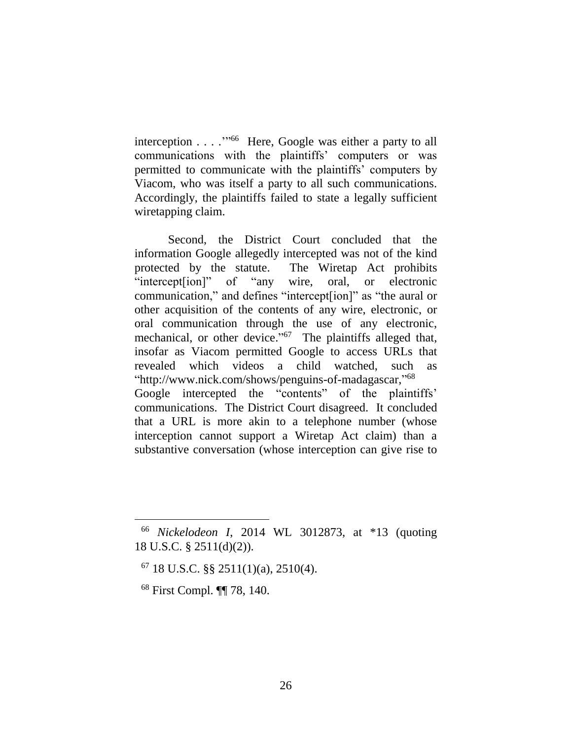interception . . . . "<sup>66</sup> Here, Google was either a party to all communications with the plaintiffs' computers or was permitted to communicate with the plaintiffs' computers by Viacom, who was itself a party to all such communications. Accordingly, the plaintiffs failed to state a legally sufficient wiretapping claim.

Second, the District Court concluded that the information Google allegedly intercepted was not of the kind protected by the statute. The Wiretap Act prohibits "intercept[ion]" of "any wire, oral, or electronic communication," and defines "intercept[ion]" as "the aural or other acquisition of the contents of any wire, electronic, or oral communication through the use of any electronic, mechanical, or other device."<sup>67</sup> The plaintiffs alleged that, insofar as Viacom permitted Google to access URLs that revealed which videos a child watched, such as "http://www.nick.com/shows/penguins-of-madagascar," 68 Google intercepted the "contents" of the plaintiffs' communications. The District Court disagreed. It concluded that a URL is more akin to a telephone number (whose interception cannot support a Wiretap Act claim) than a substantive conversation (whose interception can give rise to

<sup>68</sup> First Compl. ¶¶ 78, 140.

<sup>66</sup> *Nickelodeon I*, 2014 WL 3012873, at \*13 (quoting 18 U.S.C. § 2511(d)(2)).

 $67$  18 U.S.C. §§ 2511(1)(a), 2510(4).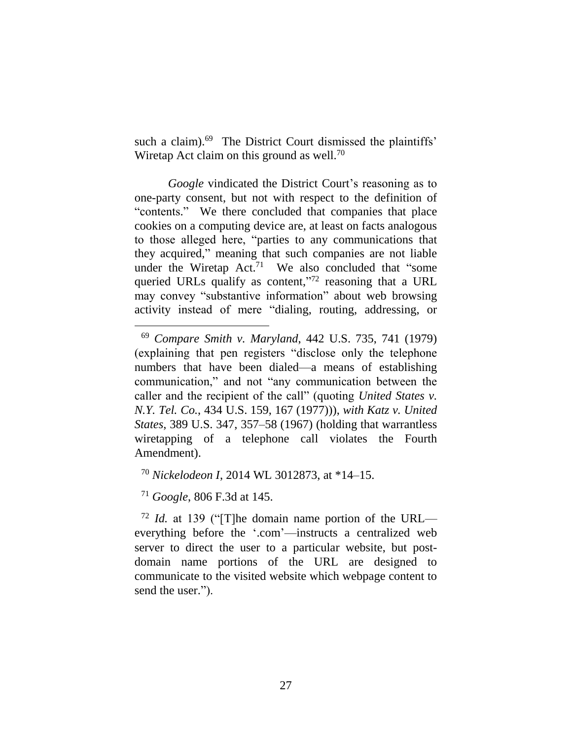such a claim).<sup>69</sup> The District Court dismissed the plaintiffs' Wiretap Act claim on this ground as well.<sup>70</sup>

*Google* vindicated the District Court's reasoning as to one-party consent, but not with respect to the definition of "contents." We there concluded that companies that place cookies on a computing device are, at least on facts analogous to those alleged here, "parties to any communications that they acquired," meaning that such companies are not liable under the Wiretap  $Act.^{71}$  We also concluded that "some queried URLs qualify as content,"<sup>72</sup> reasoning that a URL may convey "substantive information" about web browsing activity instead of mere "dialing, routing, addressing, or

<sup>70</sup> *Nickelodeon I*, 2014 WL 3012873, at \*14–15.

<sup>71</sup> *Google*, 806 F.3d at 145.

 $\overline{a}$ 

<sup>72</sup> *Id.* at 139 ("[T]he domain name portion of the URL everything before the '.com'—instructs a centralized web server to direct the user to a particular website, but postdomain name portions of the URL are designed to communicate to the visited website which webpage content to send the user.").

<sup>69</sup> *Compare Smith v. Maryland*, 442 U.S. 735, 741 (1979) (explaining that pen registers "disclose only the telephone numbers that have been dialed—a means of establishing communication," and not "any communication between the caller and the recipient of the call" (quoting *United States v. N.Y. Tel. Co.*, 434 U.S. 159, 167 (1977))), *with Katz v. United States*, 389 U.S. 347, 357–58 (1967) (holding that warrantless wiretapping of a telephone call violates the Fourth Amendment).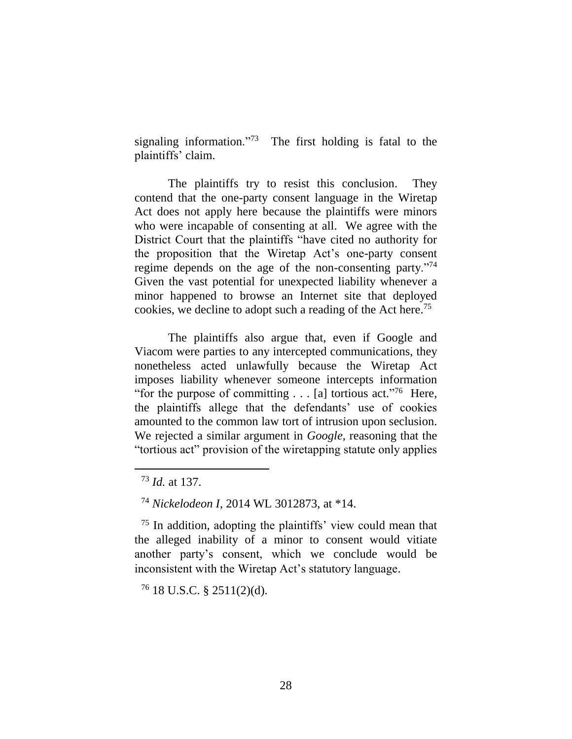signaling information."<sup>73</sup> The first holding is fatal to the plaintiffs' claim.

The plaintiffs try to resist this conclusion. They contend that the one-party consent language in the Wiretap Act does not apply here because the plaintiffs were minors who were incapable of consenting at all. We agree with the District Court that the plaintiffs "have cited no authority for the proposition that the Wiretap Act's one-party consent regime depends on the age of the non-consenting party."<sup>74</sup> Given the vast potential for unexpected liability whenever a minor happened to browse an Internet site that deployed cookies, we decline to adopt such a reading of the Act here.<sup>75</sup>

The plaintiffs also argue that, even if Google and Viacom were parties to any intercepted communications, they nonetheless acted unlawfully because the Wiretap Act imposes liability whenever someone intercepts information "for the purpose of committing  $\dots$  [a] tortious act."<sup>76</sup> Here, the plaintiffs allege that the defendants' use of cookies amounted to the common law tort of intrusion upon seclusion. We rejected a similar argument in *Google*, reasoning that the "tortious act" provision of the wiretapping statute only applies

<sup>73</sup> *Id.* at 137.

<sup>74</sup> *Nickelodeon I*, 2014 WL 3012873, at \*14.

<sup>75</sup> In addition, adopting the plaintiffs' view could mean that the alleged inability of a minor to consent would vitiate another party's consent, which we conclude would be inconsistent with the Wiretap Act's statutory language.

 $76$  18 U.S.C. § 2511(2)(d).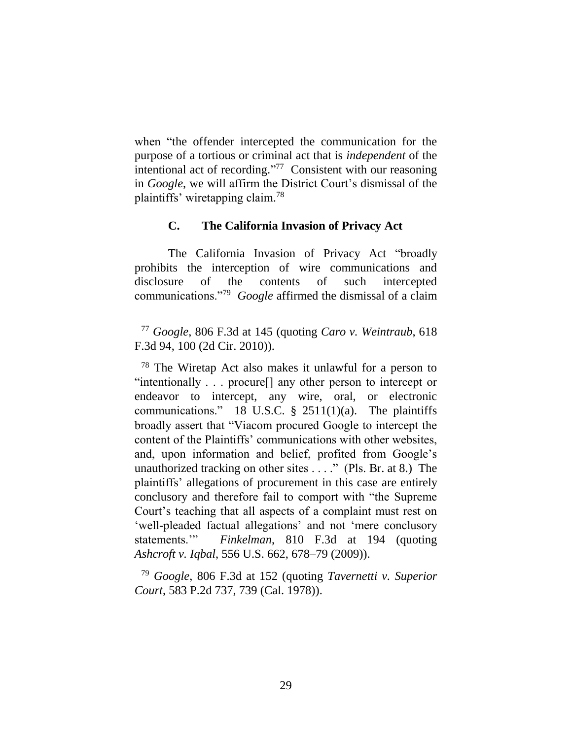when "the offender intercepted the communication for the purpose of a tortious or criminal act that is *independent* of the intentional act of recording." 77 Consistent with our reasoning in *Google*, we will affirm the District Court's dismissal of the plaintiffs' wiretapping claim. 78

### **C. The California Invasion of Privacy Act**

The California Invasion of Privacy Act "broadly prohibits the interception of wire communications and disclosure of the contents of such intercepted communications."<sup>79</sup> *Google* affirmed the dismissal of a claim

<sup>77</sup> *Google*, 806 F.3d at 145 (quoting *Caro v. Weintraub*, 618 F.3d 94, 100 (2d Cir. 2010)).

<sup>78</sup> The Wiretap Act also makes it unlawful for a person to "intentionally . . . procure[] any other person to intercept or endeavor to intercept, any wire, oral, or electronic communications." 18 U.S.C.  $\S$  2511(1)(a). The plaintiffs broadly assert that "Viacom procured Google to intercept the content of the Plaintiffs' communications with other websites, and, upon information and belief, profited from Google's unauthorized tracking on other sites . . . ." (Pls. Br. at 8.) The plaintiffs' allegations of procurement in this case are entirely conclusory and therefore fail to comport with "the Supreme Court's teaching that all aspects of a complaint must rest on 'well-pleaded factual allegations' and not 'mere conclusory statements.'" *Finkelman*, 810 F.3d at 194 (quoting *Ashcroft v. Iqbal*, 556 U.S. 662, 678–79 (2009)).

<sup>79</sup> *Google*, 806 F.3d at 152 (quoting *Tavernetti v. Superior Court*, 583 P.2d 737, 739 (Cal. 1978)).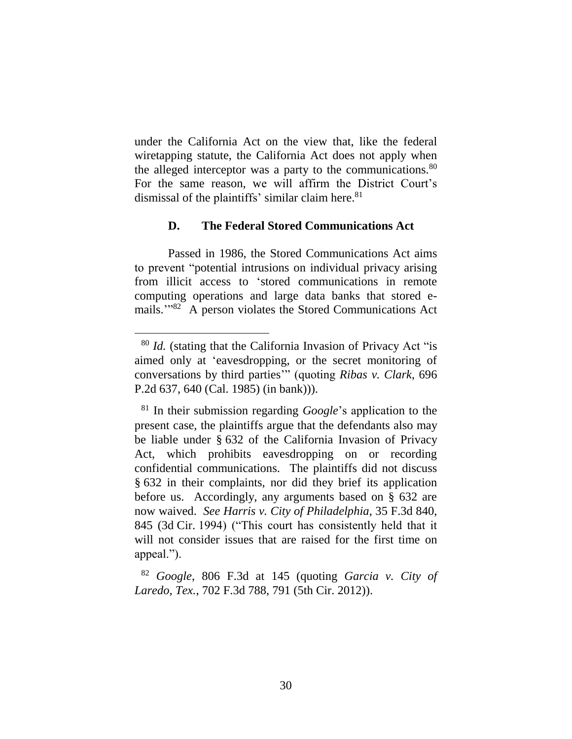under the California Act on the view that, like the federal wiretapping statute, the California Act does not apply when the alleged interceptor was a party to the communications.<sup>80</sup> For the same reason, we will affirm the District Court's dismissal of the plaintiffs' similar claim here.<sup>81</sup>

### **D. The Federal Stored Communications Act**

Passed in 1986, the Stored Communications Act aims to prevent "potential intrusions on individual privacy arising from illicit access to 'stored communications in remote computing operations and large data banks that stored emails.'" 82 A person violates the Stored Communications Act

<sup>80</sup> *Id.* (stating that the California Invasion of Privacy Act "is aimed only at 'eavesdropping, or the secret monitoring of conversations by third parties'" (quoting *Ribas v. Clark*, 696 P.2d 637, 640 (Cal. 1985) (in bank))).

<sup>81</sup> In their submission regarding *Google*'s application to the present case, the plaintiffs argue that the defendants also may be liable under § 632 of the California Invasion of Privacy Act, which prohibits eavesdropping on or recording confidential communications. The plaintiffs did not discuss § 632 in their complaints, nor did they brief its application before us. Accordingly, any arguments based on § 632 are now waived. *See Harris v. City of Philadelphia*, 35 F.3d 840, 845 (3d Cir. 1994) ("This court has consistently held that it will not consider issues that are raised for the first time on appeal.").

<sup>82</sup> *Google*, 806 F.3d at 145 (quoting *Garcia v. City of Laredo, Tex.*, 702 F.3d 788, 791 (5th Cir. 2012)).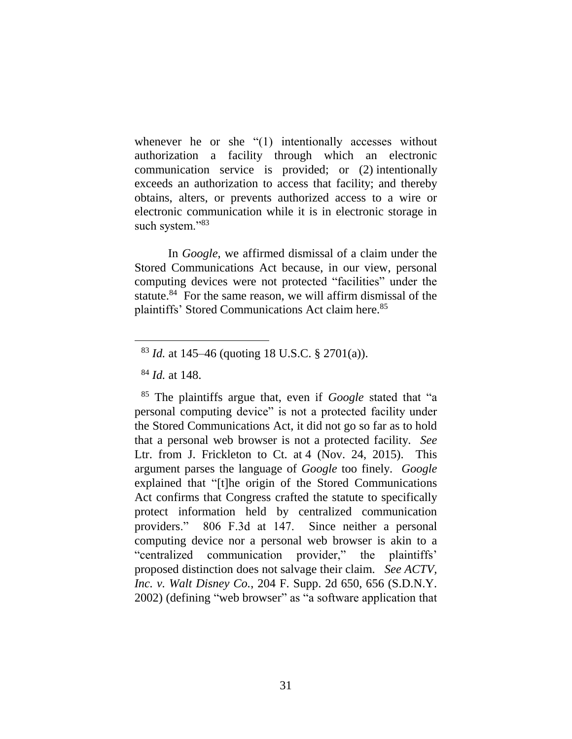whenever he or she "(1) intentionally accesses without authorization a facility through which an electronic communication service is provided; or (2) intentionally exceeds an authorization to access that facility; and thereby obtains, alters, or prevents authorized access to a wire or electronic communication while it is in electronic storage in such system."83

In *Google*, we affirmed dismissal of a claim under the Stored Communications Act because, in our view, personal computing devices were not protected "facilities" under the statute.<sup>84</sup> For the same reason, we will affirm dismissal of the plaintiffs' Stored Communications Act claim here. 85

<sup>83</sup> *Id.* at 145–46 (quoting 18 U.S.C. § 2701(a)).

<sup>84</sup> *Id.* at 148.

<sup>85</sup> The plaintiffs argue that, even if *Google* stated that "a personal computing device" is not a protected facility under the Stored Communications Act, it did not go so far as to hold that a personal web browser is not a protected facility. *See* Ltr. from J. Frickleton to Ct. at 4 (Nov. 24, 2015). This argument parses the language of *Google* too finely. *Google* explained that "[t]he origin of the Stored Communications Act confirms that Congress crafted the statute to specifically protect information held by centralized communication providers." 806 F.3d at 147. Since neither a personal computing device nor a personal web browser is akin to a "centralized communication provider," the plaintiffs' proposed distinction does not salvage their claim. *See ACTV, Inc. v. Walt Disney Co.*, 204 F. Supp. 2d 650, 656 (S.D.N.Y. 2002) (defining "web browser" as "a software application that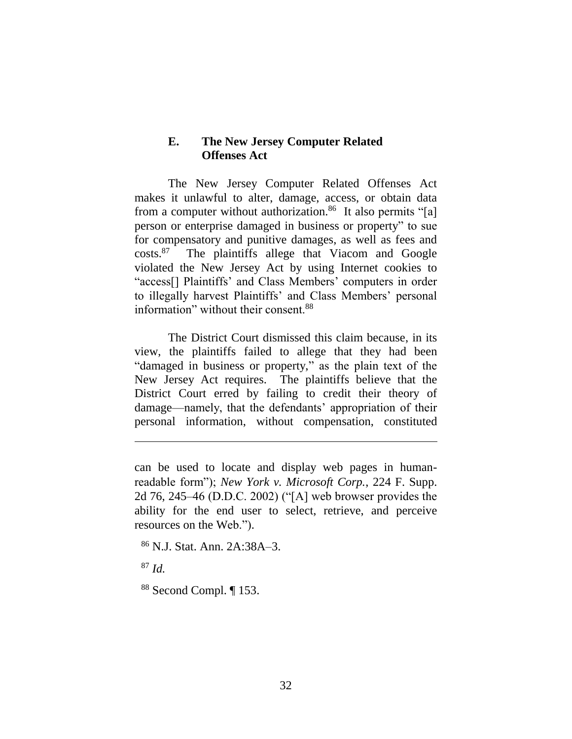### **E. The New Jersey Computer Related Offenses Act**

The New Jersey Computer Related Offenses Act makes it unlawful to alter, damage, access, or obtain data from a computer without authorization.<sup>86</sup> It also permits "[a] person or enterprise damaged in business or property" to sue for compensatory and punitive damages, as well as fees and  $costs.<sup>87</sup>$  The plaintiffs allege that Viacom and Google violated the New Jersey Act by using Internet cookies to "access[] Plaintiffs' and Class Members' computers in order to illegally harvest Plaintiffs' and Class Members' personal information" without their consent.<sup>88</sup>

The District Court dismissed this claim because, in its view, the plaintiffs failed to allege that they had been "damaged in business or property," as the plain text of the New Jersey Act requires. The plaintiffs believe that the District Court erred by failing to credit their theory of damage—namely, that the defendants' appropriation of their personal information, without compensation, constituted

can be used to locate and display web pages in humanreadable form"); *New York v. Microsoft Corp.*, 224 F. Supp. 2d 76, 245–46 (D.D.C. 2002) ("[A] web browser provides the ability for the end user to select, retrieve, and perceive resources on the Web.").

<sup>86</sup> N.J. Stat. Ann. 2A:38A–3.

<sup>87</sup> *Id.*

 $\overline{a}$ 

<sup>88</sup> Second Compl. ¶ 153.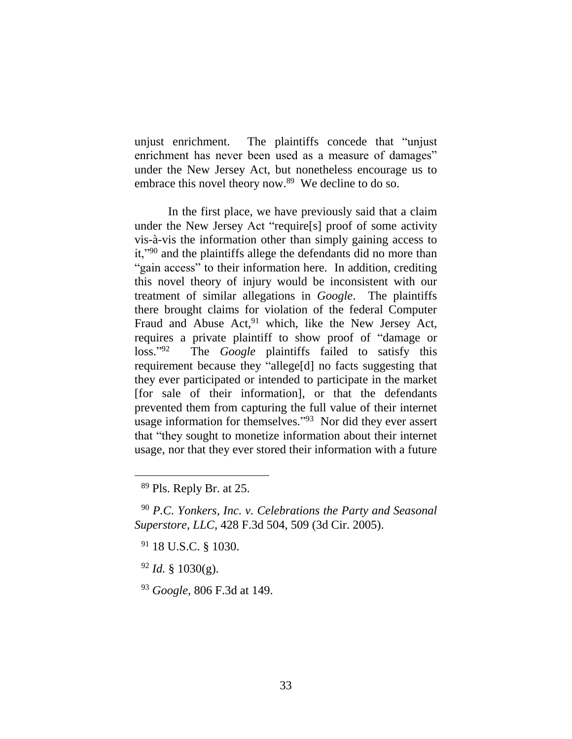unjust enrichment. The plaintiffs concede that "unjust enrichment has never been used as a measure of damages" under the New Jersey Act, but nonetheless encourage us to embrace this novel theory now.<sup>89</sup> We decline to do so.

In the first place, we have previously said that a claim under the New Jersey Act "require[s] proof of some activity vis-à-vis the information other than simply gaining access to it,"<sup>90</sup> and the plaintiffs allege the defendants did no more than "gain access" to their information here. In addition, crediting this novel theory of injury would be inconsistent with our treatment of similar allegations in *Google*. The plaintiffs there brought claims for violation of the federal Computer Fraud and Abuse  $Act<sub>1</sub><sup>91</sup>$  which, like the New Jersey Act, requires a private plaintiff to show proof of "damage or loss." 92 The *Google* plaintiffs failed to satisfy this requirement because they "allege[d] no facts suggesting that they ever participated or intended to participate in the market [for sale of their information], or that the defendants prevented them from capturing the full value of their internet usage information for themselves."<sup>93</sup> Nor did they ever assert that "they sought to monetize information about their internet usage, nor that they ever stored their information with a future

<sup>89</sup> Pls. Reply Br. at 25.

<sup>90</sup> *P.C. Yonkers, Inc. v. Celebrations the Party and Seasonal Superstore, LLC*, 428 F.3d 504, 509 (3d Cir. 2005).

<sup>91</sup> 18 U.S.C. § 1030.

 $92$  *Id.* § 1030(g).

<sup>93</sup> *Google*, 806 F.3d at 149.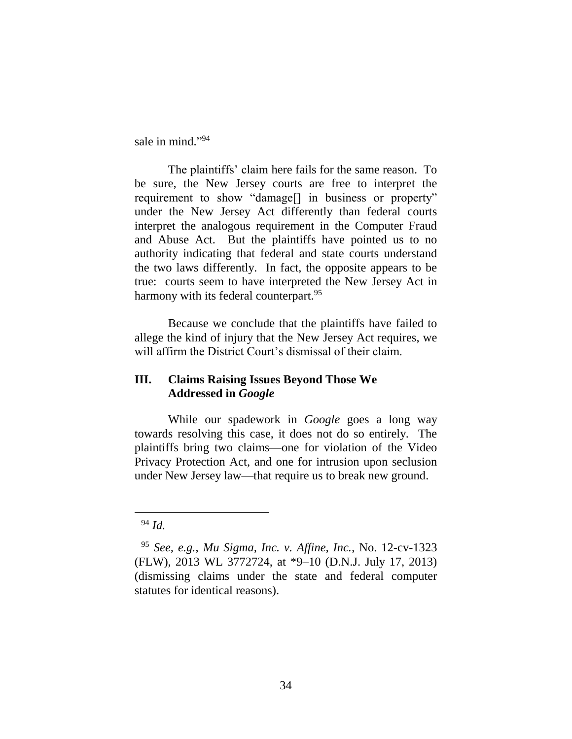sale in mind."94

The plaintiffs' claim here fails for the same reason. To be sure, the New Jersey courts are free to interpret the requirement to show "damage[] in business or property" under the New Jersey Act differently than federal courts interpret the analogous requirement in the Computer Fraud and Abuse Act. But the plaintiffs have pointed us to no authority indicating that federal and state courts understand the two laws differently. In fact, the opposite appears to be true: courts seem to have interpreted the New Jersey Act in harmony with its federal counterpart.<sup>95</sup>

Because we conclude that the plaintiffs have failed to allege the kind of injury that the New Jersey Act requires, we will affirm the District Court's dismissal of their claim.

# **III. Claims Raising Issues Beyond Those We Addressed in** *Google*

While our spadework in *Google* goes a long way towards resolving this case, it does not do so entirely. The plaintiffs bring two claims—one for violation of the Video Privacy Protection Act, and one for intrusion upon seclusion under New Jersey law—that require us to break new ground.

<sup>94</sup> *Id.*

<sup>95</sup> *See, e.g.*, *Mu Sigma, Inc. v. Affine, Inc.*, No. 12-cv-1323 (FLW), 2013 WL 3772724, at \*9–10 (D.N.J. July 17, 2013) (dismissing claims under the state and federal computer statutes for identical reasons).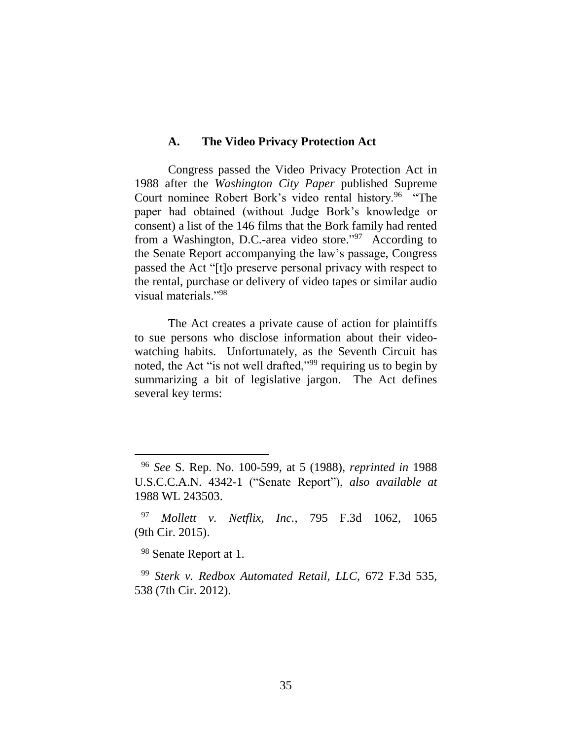#### **A. The Video Privacy Protection Act**

Congress passed the Video Privacy Protection Act in 1988 after the *Washington City Paper* published Supreme Court nominee Robert Bork's video rental history.<sup>96</sup> "The paper had obtained (without Judge Bork's knowledge or consent) a list of the 146 films that the Bork family had rented from a Washington, D.C.-area video store."<sup>97</sup> According to the Senate Report accompanying the law's passage, Congress passed the Act "[t]o preserve personal privacy with respect to the rental, purchase or delivery of video tapes or similar audio visual materials."<sup>98</sup>

The Act creates a private cause of action for plaintiffs to sue persons who disclose information about their videowatching habits. Unfortunately, as the Seventh Circuit has noted, the Act "is not well drafted,"<sup>99</sup> requiring us to begin by summarizing a bit of legislative jargon. The Act defines several key terms:

<sup>98</sup> Senate Report at 1.

 $\overline{a}$ 

<sup>99</sup> *Sterk v. Redbox Automated Retail, LLC*, 672 F.3d 535, 538 (7th Cir. 2012).

<sup>96</sup> *See* S. Rep. No. 100-599, at 5 (1988), *reprinted in* 1988 U.S.C.C.A.N. 4342-1 ("Senate Report"), *also available at*  1988 WL 243503.

<sup>97</sup> *Mollett v. Netflix, Inc.*, 795 F.3d 1062, 1065 (9th Cir. 2015).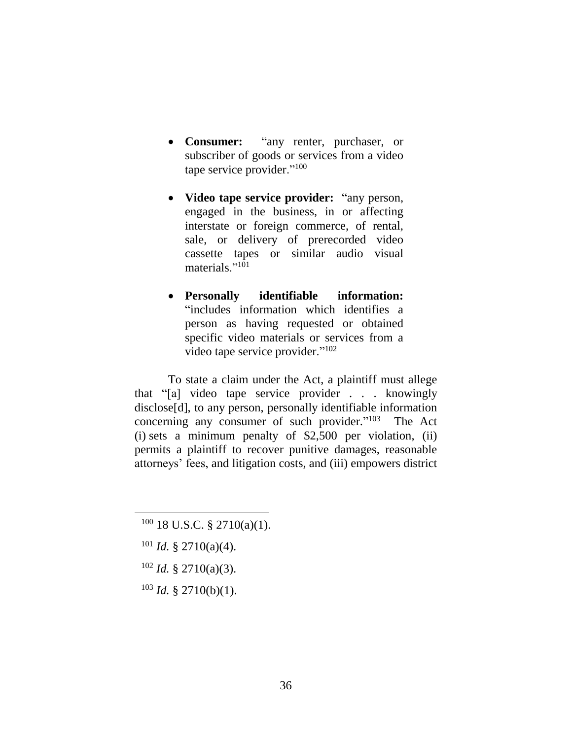- **Consumer:** "any renter, purchaser, or subscriber of goods or services from a video tape service provider."<sup>100</sup>
- **Video tape service provider:** "any person, engaged in the business, in or affecting interstate or foreign commerce, of rental, sale, or delivery of prerecorded video cassette tapes or similar audio visual materials."<sup>101</sup>
- **Personally identifiable information:** "includes information which identifies a person as having requested or obtained specific video materials or services from a video tape service provider."<sup>102</sup>

To state a claim under the Act, a plaintiff must allege that "[a] video tape service provider . . . knowingly disclose<sup>[d]</sup>, to any person, personally identifiable information concerning any consumer of such provider."<sup>103</sup> The Act (i) sets a minimum penalty of  $$2,500$  per violation, (ii) permits a plaintiff to recover punitive damages, reasonable attorneys' fees, and litigation costs, and (iii) empowers district

 $101$  *Id.* § 2710(a)(4).

- <sup>102</sup> *Id.* § 2710(a)(3).
- <sup>103</sup> *Id.* § 2710(b)(1).

 $100$  18 U.S.C. § 2710(a)(1).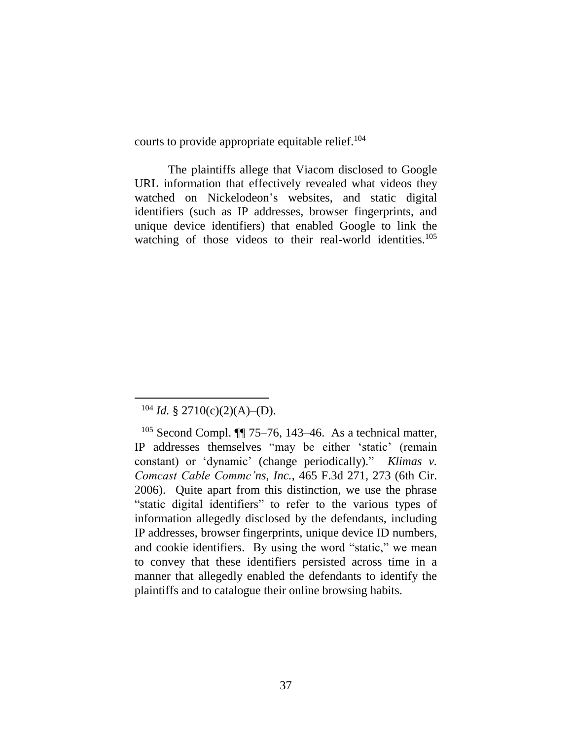courts to provide appropriate equitable relief. 104

The plaintiffs allege that Viacom disclosed to Google URL information that effectively revealed what videos they watched on Nickelodeon's websites, and static digital identifiers (such as IP addresses, browser fingerprints, and unique device identifiers) that enabled Google to link the watching of those videos to their real-world identities.<sup>105</sup>

 $104$  *Id.* § 2710(c)(2)(A)–(D).

 $105$  Second Compl.  $\P$  75–76, 143–46. As a technical matter, IP addresses themselves "may be either 'static' (remain constant) or 'dynamic' (change periodically)." *Klimas v. Comcast Cable Commc'ns, Inc.*, 465 F.3d 271, 273 (6th Cir. 2006). Quite apart from this distinction, we use the phrase "static digital identifiers" to refer to the various types of information allegedly disclosed by the defendants, including IP addresses, browser fingerprints, unique device ID numbers, and cookie identifiers. By using the word "static," we mean to convey that these identifiers persisted across time in a manner that allegedly enabled the defendants to identify the plaintiffs and to catalogue their online browsing habits.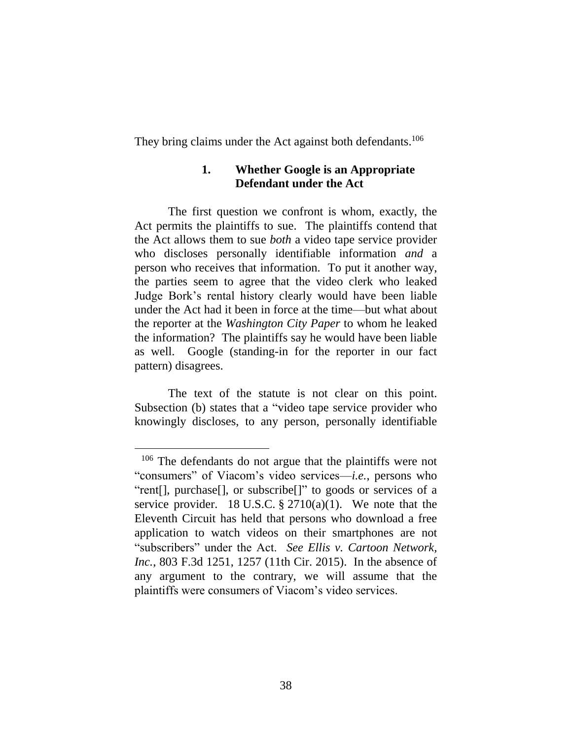They bring claims under the Act against both defendants.<sup>106</sup>

### **1. Whether Google is an Appropriate Defendant under the Act**

The first question we confront is whom, exactly, the Act permits the plaintiffs to sue. The plaintiffs contend that the Act allows them to sue *both* a video tape service provider who discloses personally identifiable information *and* a person who receives that information. To put it another way, the parties seem to agree that the video clerk who leaked Judge Bork's rental history clearly would have been liable under the Act had it been in force at the time—but what about the reporter at the *Washington City Paper* to whom he leaked the information? The plaintiffs say he would have been liable as well. Google (standing-in for the reporter in our fact pattern) disagrees.

The text of the statute is not clear on this point. Subsection (b) states that a "video tape service provider who knowingly discloses, to any person, personally identifiable

<sup>&</sup>lt;sup>106</sup> The defendants do not argue that the plaintiffs were not "consumers" of Viacom's video services—*i.e.*, persons who "rent[], purchase[], or subscribe[]" to goods or services of a service provider. 18 U.S.C.  $\S 2710(a)(1)$ . We note that the Eleventh Circuit has held that persons who download a free application to watch videos on their smartphones are not "subscribers" under the Act. *See Ellis v. Cartoon Network, Inc.*, 803 F.3d 1251, 1257 (11th Cir. 2015). In the absence of any argument to the contrary, we will assume that the plaintiffs were consumers of Viacom's video services.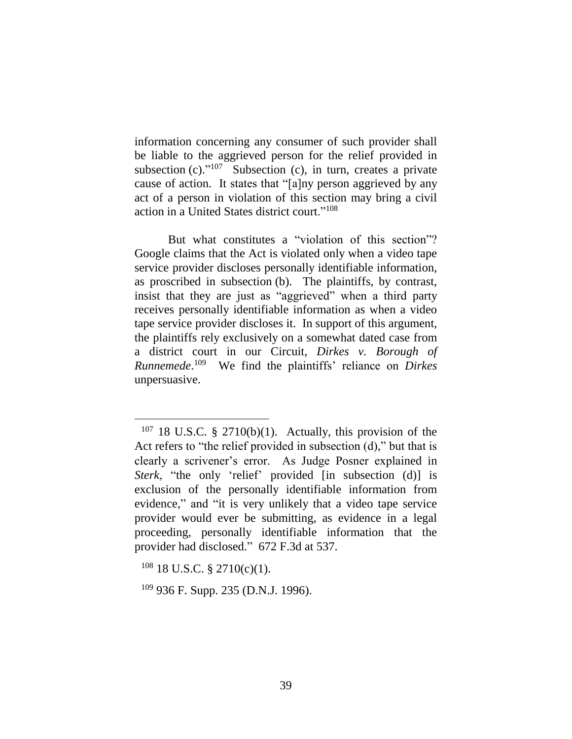information concerning any consumer of such provider shall be liable to the aggrieved person for the relief provided in subsection  $(c)$ ."<sup>107</sup> Subsection  $(c)$ , in turn, creates a private cause of action. It states that "[a]ny person aggrieved by any act of a person in violation of this section may bring a civil action in a United States district court."<sup>108</sup>

But what constitutes a "violation of this section"? Google claims that the Act is violated only when a video tape service provider discloses personally identifiable information, as proscribed in subsection (b). The plaintiffs, by contrast, insist that they are just as "aggrieved" when a third party receives personally identifiable information as when a video tape service provider discloses it. In support of this argument, the plaintiffs rely exclusively on a somewhat dated case from a district court in our Circuit, *Dirkes v. Borough of Runnemede*. 109 We find the plaintiffs' reliance on *Dirkes*  unpersuasive.

 $107$  18 U.S.C. § 2710(b)(1). Actually, this provision of the Act refers to "the relief provided in subsection (d)," but that is clearly a scrivener's error. As Judge Posner explained in *Sterk*, "the only 'relief' provided [in subsection (d)] is exclusion of the personally identifiable information from evidence," and "it is very unlikely that a video tape service provider would ever be submitting, as evidence in a legal proceeding, personally identifiable information that the provider had disclosed." 672 F.3d at 537.

 $108$  18 U.S.C. § 2710(c)(1).

 $109$  936 F. Supp. 235 (D.N.J. 1996).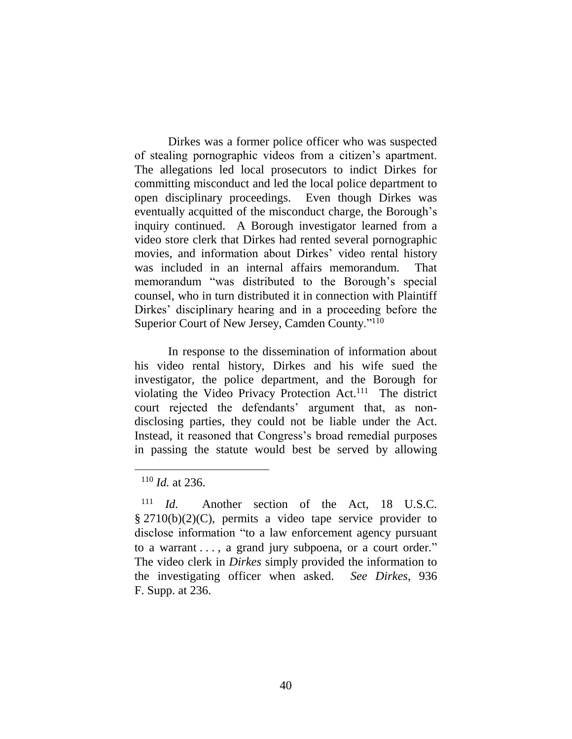Dirkes was a former police officer who was suspected of stealing pornographic videos from a citizen's apartment. The allegations led local prosecutors to indict Dirkes for committing misconduct and led the local police department to open disciplinary proceedings. Even though Dirkes was eventually acquitted of the misconduct charge, the Borough's inquiry continued. A Borough investigator learned from a video store clerk that Dirkes had rented several pornographic movies, and information about Dirkes' video rental history was included in an internal affairs memorandum. That memorandum "was distributed to the Borough's special counsel, who in turn distributed it in connection with Plaintiff Dirkes' disciplinary hearing and in a proceeding before the Superior Court of New Jersey, Camden County."<sup>110</sup>

In response to the dissemination of information about his video rental history, Dirkes and his wife sued the investigator, the police department, and the Borough for violating the Video Privacy Protection Act.<sup>111</sup> The district court rejected the defendants' argument that, as nondisclosing parties, they could not be liable under the Act. Instead, it reasoned that Congress's broad remedial purposes in passing the statute would best be served by allowing

<sup>110</sup> *Id.* at 236.

<sup>111</sup> *Id.* Another section of the Act, 18 U.S.C. § 2710(b)(2)(C), permits a video tape service provider to disclose information "to a law enforcement agency pursuant to a warrant . . . , a grand jury subpoena, or a court order." The video clerk in *Dirkes* simply provided the information to the investigating officer when asked. *See Dirkes*, 936 F. Supp. at 236.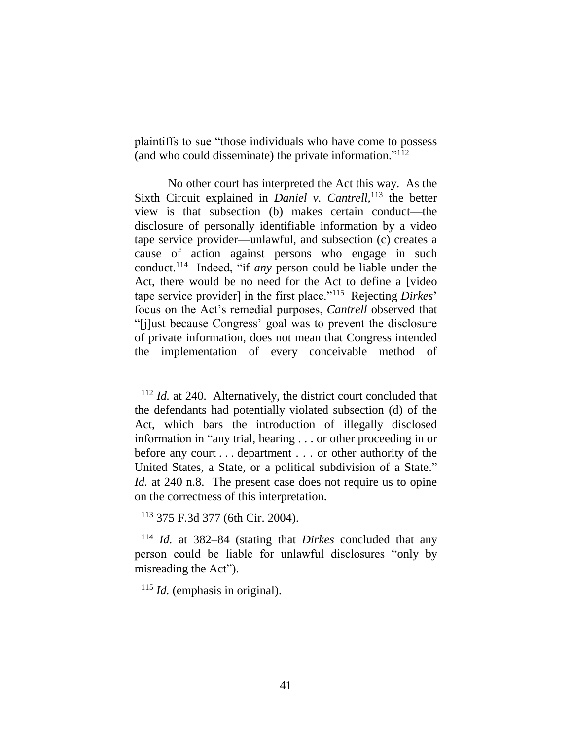plaintiffs to sue "those individuals who have come to possess (and who could disseminate) the private information." 112

No other court has interpreted the Act this way. As the Sixth Circuit explained in *Daniel v. Cantrell*,<sup>113</sup> the better view is that subsection (b) makes certain conduct—the disclosure of personally identifiable information by a video tape service provider—unlawful, and subsection (c) creates a cause of action against persons who engage in such conduct. 114 Indeed, "if *any* person could be liable under the Act, there would be no need for the Act to define a [video tape service provider] in the first place."<sup>115</sup> Rejecting *Dirkes*' focus on the Act's remedial purposes, *Cantrell* observed that "[j]ust because Congress' goal was to prevent the disclosure of private information, does not mean that Congress intended the implementation of every conceivable method of

 $\overline{a}$ 

<sup>115</sup> *Id.* (emphasis in original).

<sup>112</sup> *Id.* at 240. Alternatively, the district court concluded that the defendants had potentially violated subsection (d) of the Act, which bars the introduction of illegally disclosed information in "any trial, hearing . . . or other proceeding in or before any court . . . department . . . or other authority of the United States, a State, or a political subdivision of a State." *Id.* at 240 n.8. The present case does not require us to opine on the correctness of this interpretation.

<sup>113</sup> 375 F.3d 377 (6th Cir. 2004).

<sup>114</sup> *Id.* at 382–84 (stating that *Dirkes* concluded that any person could be liable for unlawful disclosures "only by misreading the Act").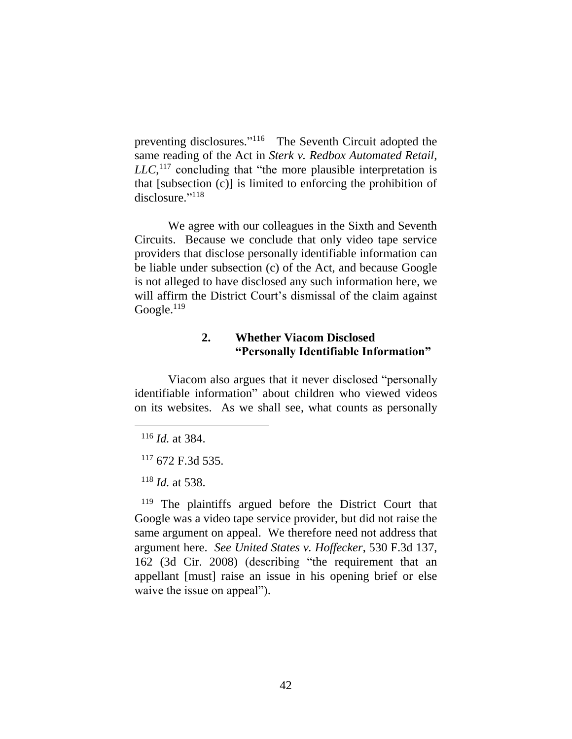preventing disclosures."<sup>116</sup> The Seventh Circuit adopted the same reading of the Act in *Sterk v. Redbox Automated Retail,*   $LLC$ <sup>, 117</sup> concluding that "the more plausible interpretation is that [subsection (c)] is limited to enforcing the prohibition of disclosure." 118

We agree with our colleagues in the Sixth and Seventh Circuits. Because we conclude that only video tape service providers that disclose personally identifiable information can be liable under subsection (c) of the Act, and because Google is not alleged to have disclosed any such information here, we will affirm the District Court's dismissal of the claim against Google. $^{119}$ 

### **2. Whether Viacom Disclosed "Personally Identifiable Information"**

Viacom also argues that it never disclosed "personally identifiable information" about children who viewed videos on its websites. As we shall see, what counts as personally

 $\overline{a}$ 

<sup>119</sup> The plaintiffs argued before the District Court that Google was a video tape service provider, but did not raise the same argument on appeal. We therefore need not address that argument here. *See United States v. Hoffecker*, 530 F.3d 137, 162 (3d Cir. 2008) (describing "the requirement that an appellant [must] raise an issue in his opening brief or else waive the issue on appeal").

<sup>116</sup> *Id.* at 384.

 $117$  672 F.3d 535.

<sup>118</sup> *Id.* at 538.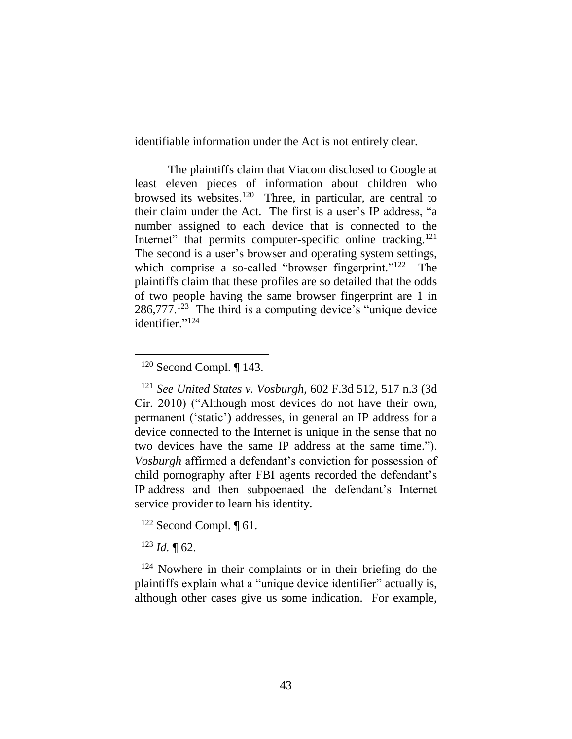identifiable information under the Act is not entirely clear.

The plaintiffs claim that Viacom disclosed to Google at least eleven pieces of information about children who browsed its websites. <sup>120</sup> Three, in particular, are central to their claim under the Act. The first is a user's IP address, "a number assigned to each device that is connected to the Internet" that permits computer-specific online tracking.<sup>121</sup> The second is a user's browser and operating system settings, which comprise a so-called "browser fingerprint."<sup>122</sup> The plaintiffs claim that these profiles are so detailed that the odds of two people having the same browser fingerprint are 1 in 286,777. 123 The third is a computing device's "unique device identifier."<sup>124</sup>

 $\overline{a}$ 

<sup>122</sup> Second Compl. ¶ 61.

 $123$  *Id.*  $\text{T}$  62.

<sup>124</sup> Nowhere in their complaints or in their briefing do the plaintiffs explain what a "unique device identifier" actually is, although other cases give us some indication. For example,

 $120$  Second Compl. ¶ 143.

<sup>121</sup> *See United States v. Vosburgh*, 602 F.3d 512, 517 n.3 (3d Cir. 2010) ("Although most devices do not have their own, permanent ('static') addresses, in general an IP address for a device connected to the Internet is unique in the sense that no two devices have the same IP address at the same time."). *Vosburgh* affirmed a defendant's conviction for possession of child pornography after FBI agents recorded the defendant's IP address and then subpoenaed the defendant's Internet service provider to learn his identity.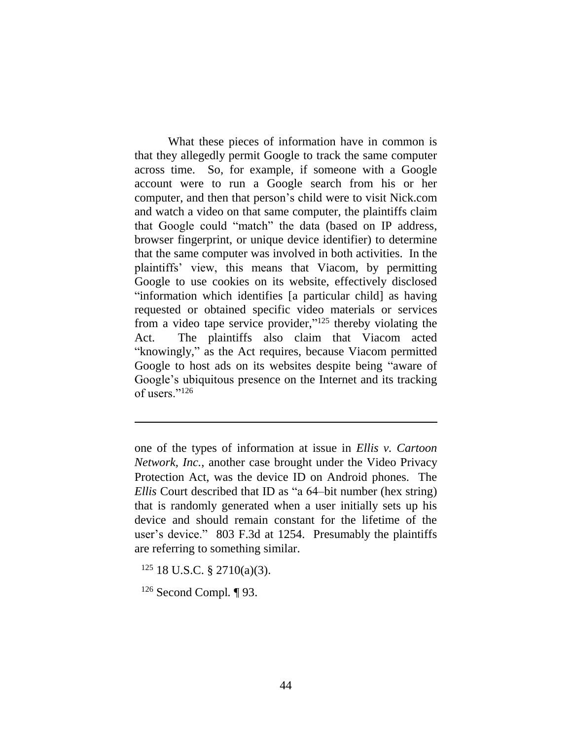What these pieces of information have in common is that they allegedly permit Google to track the same computer across time. So, for example, if someone with a Google account were to run a Google search from his or her computer, and then that person's child were to visit Nick.com and watch a video on that same computer, the plaintiffs claim that Google could "match" the data (based on IP address, browser fingerprint, or unique device identifier) to determine that the same computer was involved in both activities. In the plaintiffs' view, this means that Viacom, by permitting Google to use cookies on its website, effectively disclosed "information which identifies [a particular child] as having requested or obtained specific video materials or services from a video tape service provider,"<sup>125</sup> thereby violating the Act. The plaintiffs also claim that Viacom acted "knowingly," as the Act requires, because Viacom permitted Google to host ads on its websites despite being "aware of Google's ubiquitous presence on the Internet and its tracking of users."<sup>126</sup>

 $125$  18 U.S.C. § 2710(a)(3).

<sup>126</sup> Second Compl*.* ¶ 93.

one of the types of information at issue in *Ellis v. Cartoon Network, Inc.*, another case brought under the Video Privacy Protection Act, was the device ID on Android phones. The *Ellis* Court described that ID as "a 64–bit number (hex string) that is randomly generated when a user initially sets up his device and should remain constant for the lifetime of the user's device." 803 F.3d at 1254. Presumably the plaintiffs are referring to something similar.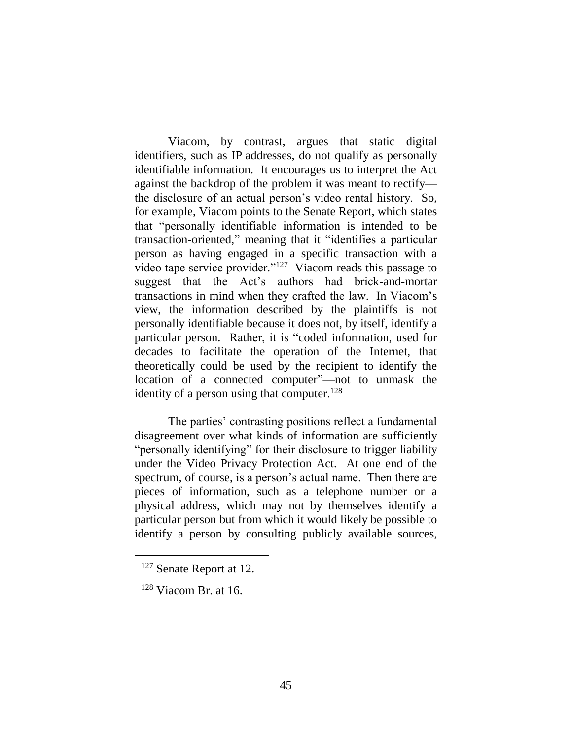Viacom, by contrast, argues that static digital identifiers, such as IP addresses, do not qualify as personally identifiable information. It encourages us to interpret the Act against the backdrop of the problem it was meant to rectify the disclosure of an actual person's video rental history. So, for example, Viacom points to the Senate Report, which states that "personally identifiable information is intended to be transaction-oriented," meaning that it "identifies a particular person as having engaged in a specific transaction with a video tape service provider."<sup>127</sup> Viacom reads this passage to suggest that the Act's authors had brick-and-mortar transactions in mind when they crafted the law. In Viacom's view, the information described by the plaintiffs is not personally identifiable because it does not, by itself, identify a particular person. Rather, it is "coded information, used for decades to facilitate the operation of the Internet, that theoretically could be used by the recipient to identify the location of a connected computer"—not to unmask the identity of a person using that computer.<sup>128</sup>

The parties' contrasting positions reflect a fundamental disagreement over what kinds of information are sufficiently "personally identifying" for their disclosure to trigger liability under the Video Privacy Protection Act. At one end of the spectrum, of course, is a person's actual name. Then there are pieces of information, such as a telephone number or a physical address, which may not by themselves identify a particular person but from which it would likely be possible to identify a person by consulting publicly available sources,

<sup>127</sup> Senate Report at 12.

 $128$  Viacom Br. at 16.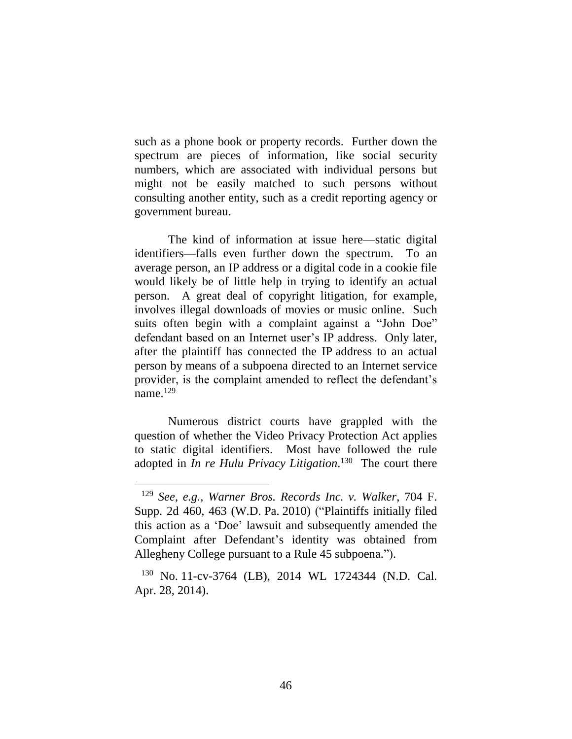such as a phone book or property records. Further down the spectrum are pieces of information, like social security numbers, which are associated with individual persons but might not be easily matched to such persons without consulting another entity, such as a credit reporting agency or government bureau.

The kind of information at issue here—static digital identifiers—falls even further down the spectrum. To an average person, an IP address or a digital code in a cookie file would likely be of little help in trying to identify an actual person. A great deal of copyright litigation, for example, involves illegal downloads of movies or music online. Such suits often begin with a complaint against a "John Doe" defendant based on an Internet user's IP address. Only later, after the plaintiff has connected the IP address to an actual person by means of a subpoena directed to an Internet service provider, is the complaint amended to reflect the defendant's name. 129

Numerous district courts have grappled with the question of whether the Video Privacy Protection Act applies to static digital identifiers. Most have followed the rule adopted in *In re Hulu Privacy Litigation*. <sup>130</sup> The court there

<sup>129</sup> *See, e.g.*, *Warner Bros. Records Inc. v. Walker*, 704 F. Supp. 2d 460, 463 (W.D. Pa. 2010) ("Plaintiffs initially filed this action as a 'Doe' lawsuit and subsequently amended the Complaint after Defendant's identity was obtained from Allegheny College pursuant to a Rule 45 subpoena.").

<sup>130</sup> No. 11-cv-3764 (LB), 2014 WL 1724344 (N.D. Cal. Apr. 28, 2014).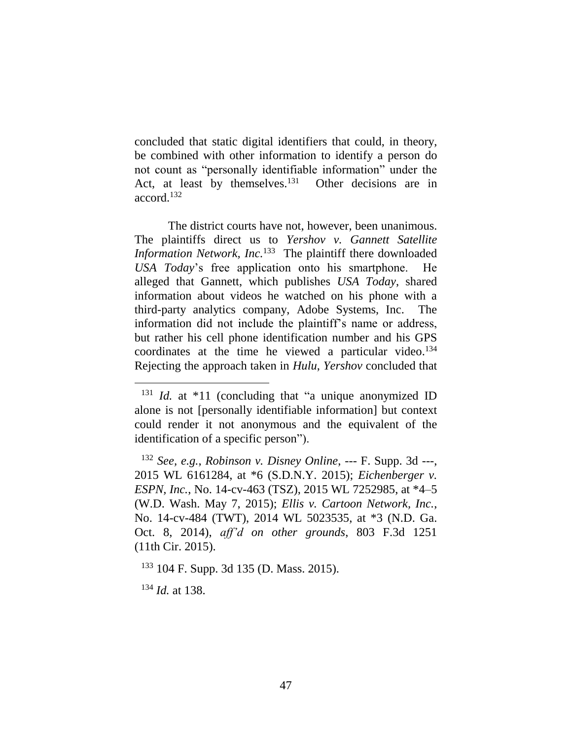concluded that static digital identifiers that could, in theory, be combined with other information to identify a person do not count as "personally identifiable information" under the Act, at least by themselves.<sup>131</sup> Other decisions are in accord. 132

The district courts have not, however, been unanimous. The plaintiffs direct us to *Yershov v. Gannett Satellite Information Network, Inc.*<sup>133</sup> The plaintiff there downloaded *USA Today*'s free application onto his smartphone. He alleged that Gannett, which publishes *USA Today*, shared information about videos he watched on his phone with a third-party analytics company, Adobe Systems, Inc. The information did not include the plaintiff's name or address, but rather his cell phone identification number and his GPS coordinates at the time he viewed a particular video. 134 Rejecting the approach taken in *Hulu*, *Yershov* concluded that

<sup>&</sup>lt;sup>131</sup> *Id.* at \*11 (concluding that "a unique anonymized ID alone is not [personally identifiable information] but context could render it not anonymous and the equivalent of the identification of a specific person").

<sup>132</sup> *See, e.g.*, *Robinson v. Disney Online*, --- F. Supp. 3d ---, 2015 WL 6161284, at \*6 (S.D.N.Y. 2015); *Eichenberger v. ESPN, Inc.*, No. 14-cv-463 (TSZ), 2015 WL 7252985, at \*4–5 (W.D. Wash. May 7, 2015); *Ellis v. Cartoon Network, Inc.*, No. 14-cv-484 (TWT), 2014 WL 5023535, at \*3 (N.D. Ga. Oct. 8, 2014), *aff'd on other grounds*, 803 F.3d 1251 (11th Cir. 2015).

<sup>133</sup> 104 F. Supp. 3d 135 (D. Mass. 2015).

<sup>134</sup> *Id.* at 138.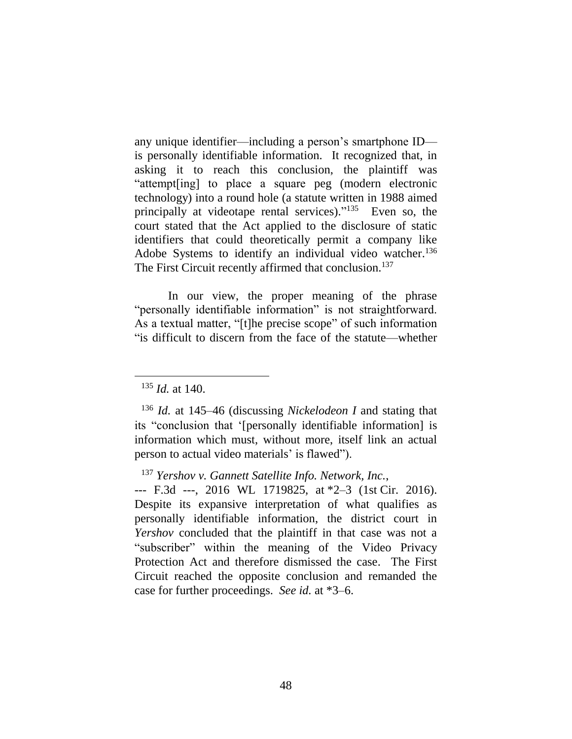any unique identifier—including a person's smartphone ID is personally identifiable information. It recognized that, in asking it to reach this conclusion, the plaintiff was "attempt[ing] to place a square peg (modern electronic technology) into a round hole (a statute written in 1988 aimed principally at videotape rental services)."<sup>135</sup> Even so, the court stated that the Act applied to the disclosure of static identifiers that could theoretically permit a company like Adobe Systems to identify an individual video watcher.<sup>136</sup> The First Circuit recently affirmed that conclusion.<sup>137</sup>

In our view, the proper meaning of the phrase "personally identifiable information" is not straightforward. As a textual matter, "[t]he precise scope" of such information "is difficult to discern from the face of the statute—whether

 $\overline{a}$ 

<sup>137</sup> *Yershov v. Gannett Satellite Info. Network, Inc.*,

--- F.3d ---, 2016 WL 1719825, at \*2–3 (1st Cir. 2016). Despite its expansive interpretation of what qualifies as personally identifiable information, the district court in *Yershov* concluded that the plaintiff in that case was not a "subscriber" within the meaning of the Video Privacy Protection Act and therefore dismissed the case. The First Circuit reached the opposite conclusion and remanded the case for further proceedings. *See id.* at \*3–6.

<sup>135</sup> *Id.* at 140.

<sup>136</sup> *Id.* at 145–46 (discussing *Nickelodeon I* and stating that its "conclusion that '[personally identifiable information] is information which must, without more, itself link an actual person to actual video materials' is flawed").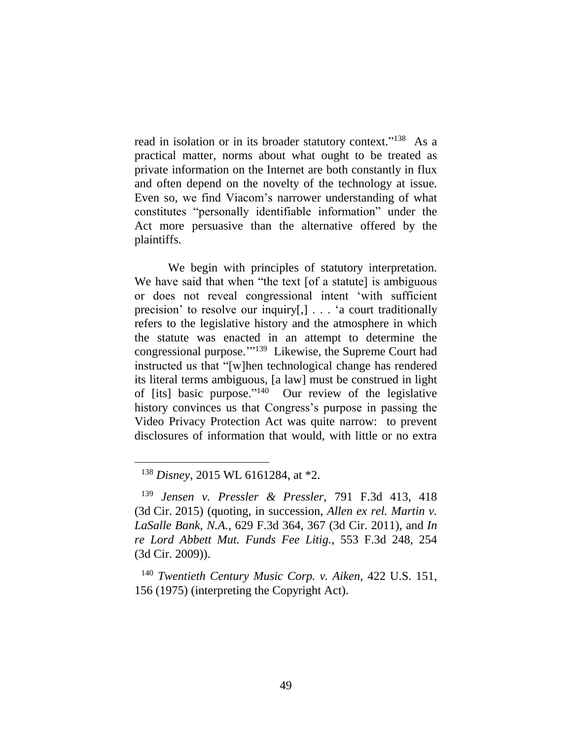read in isolation or in its broader statutory context."<sup>138</sup> As a practical matter, norms about what ought to be treated as private information on the Internet are both constantly in flux and often depend on the novelty of the technology at issue. Even so, we find Viacom's narrower understanding of what constitutes "personally identifiable information" under the Act more persuasive than the alternative offered by the plaintiffs.

We begin with principles of statutory interpretation. We have said that when "the text [of a statute] is ambiguous or does not reveal congressional intent 'with sufficient precision' to resolve our inquiry[,] . . . 'a court traditionally refers to the legislative history and the atmosphere in which the statute was enacted in an attempt to determine the congressional purpose.'" 139 Likewise, the Supreme Court had instructed us that "[w]hen technological change has rendered its literal terms ambiguous, [a law] must be construed in light of [its] basic purpose." 140 Our review of the legislative history convinces us that Congress's purpose in passing the Video Privacy Protection Act was quite narrow: to prevent disclosures of information that would, with little or no extra

<sup>138</sup> *Disney*, 2015 WL 6161284, at \*2.

<sup>139</sup> *Jensen v. Pressler & Pressler*, 791 F.3d 413, 418 (3d Cir. 2015) (quoting, in succession, *Allen ex rel. Martin v. LaSalle Bank, N.A.*, 629 F.3d 364, 367 (3d Cir. 2011), and *In re Lord Abbett Mut. Funds Fee Litig.*, 553 F.3d 248, 254 (3d Cir. 2009)).

<sup>140</sup> *Twentieth Century Music Corp. v. Aiken*, 422 U.S. 151, 156 (1975) (interpreting the Copyright Act).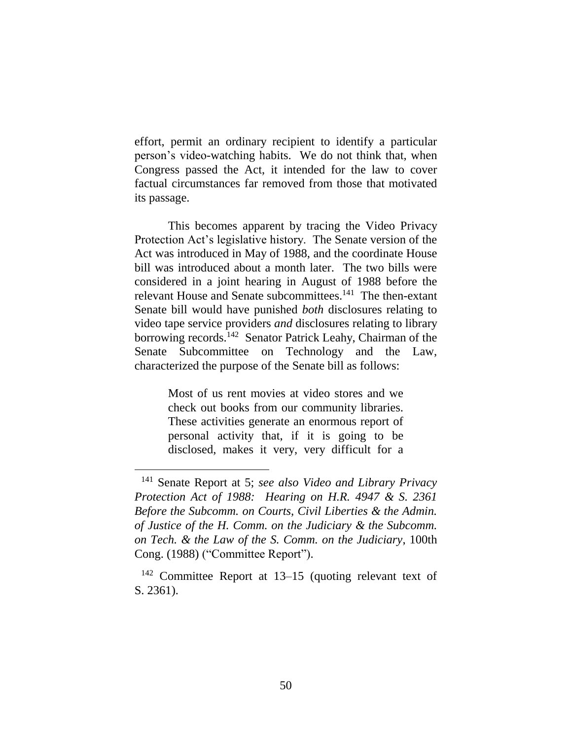effort, permit an ordinary recipient to identify a particular person's video-watching habits. We do not think that, when Congress passed the Act, it intended for the law to cover factual circumstances far removed from those that motivated its passage.

This becomes apparent by tracing the Video Privacy Protection Act's legislative history. The Senate version of the Act was introduced in May of 1988, and the coordinate House bill was introduced about a month later. The two bills were considered in a joint hearing in August of 1988 before the relevant House and Senate subcommittees.<sup>141</sup> The then-extant Senate bill would have punished *both* disclosures relating to video tape service providers *and* disclosures relating to library borrowing records.<sup>142</sup> Senator Patrick Leahy, Chairman of the Senate Subcommittee on Technology and the Law, characterized the purpose of the Senate bill as follows:

> Most of us rent movies at video stores and we check out books from our community libraries. These activities generate an enormous report of personal activity that, if it is going to be disclosed, makes it very, very difficult for a

<sup>141</sup> Senate Report at 5; *see also Video and Library Privacy Protection Act of 1988: Hearing on H.R. 4947 & S. 2361 Before the Subcomm. on Courts, Civil Liberties & the Admin. of Justice of the H. Comm. on the Judiciary & the Subcomm. on Tech. & the Law of the S. Comm. on the Judiciary*, 100th Cong. (1988) ("Committee Report").

<sup>142</sup> Committee Report at 13–15 (quoting relevant text of S. 2361).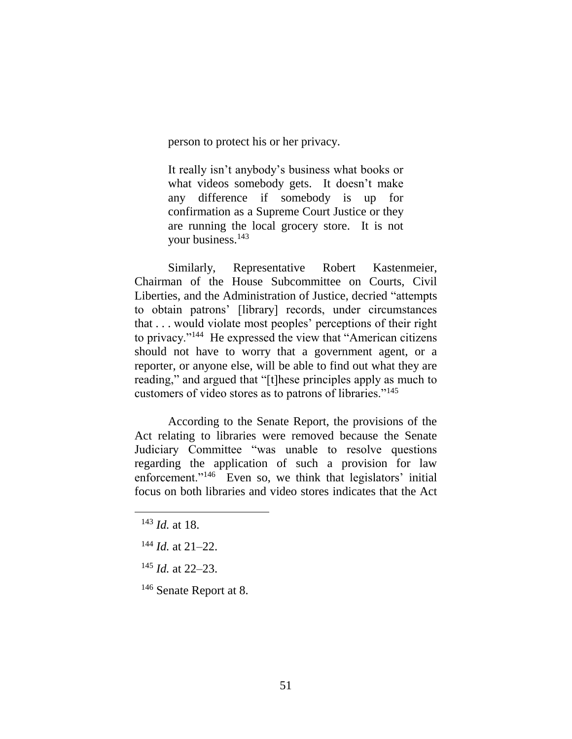person to protect his or her privacy.

It really isn't anybody's business what books or what videos somebody gets. It doesn't make any difference if somebody is up for confirmation as a Supreme Court Justice or they are running the local grocery store. It is not your business.<sup>143</sup>

Similarly, Representative Robert Kastenmeier, Chairman of the House Subcommittee on Courts, Civil Liberties, and the Administration of Justice, decried "attempts to obtain patrons' [library] records, under circumstances that . . . would violate most peoples' perceptions of their right to privacy."<sup>144</sup> He expressed the view that "American citizens should not have to worry that a government agent, or a reporter, or anyone else, will be able to find out what they are reading," and argued that "[t]hese principles apply as much to customers of video stores as to patrons of libraries."<sup>145</sup>

According to the Senate Report, the provisions of the Act relating to libraries were removed because the Senate Judiciary Committee "was unable to resolve questions regarding the application of such a provision for law enforcement."<sup>146</sup> Even so, we think that legislators' initial focus on both libraries and video stores indicates that the Act

 $\overline{a}$ 

<sup>146</sup> Senate Report at 8.

<sup>143</sup> *Id.* at 18.

<sup>144</sup> *Id.* at 21–22.

<sup>145</sup> *Id.* at 22–23.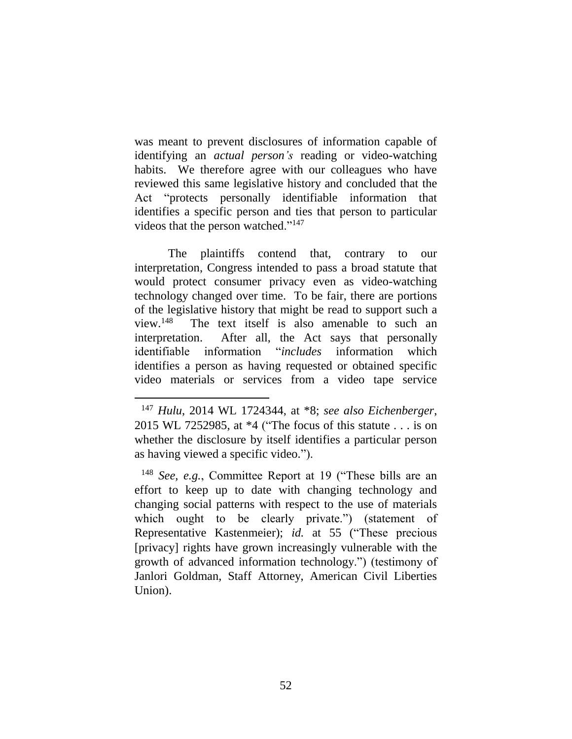was meant to prevent disclosures of information capable of identifying an *actual person's* reading or video-watching habits. We therefore agree with our colleagues who have reviewed this same legislative history and concluded that the Act "protects personally identifiable information that identifies a specific person and ties that person to particular videos that the person watched."<sup>147</sup>

The plaintiffs contend that, contrary to our interpretation, Congress intended to pass a broad statute that would protect consumer privacy even as video-watching technology changed over time. To be fair, there are portions of the legislative history that might be read to support such a view. $148$  The text itself is also amenable to such an interpretation. After all, the Act says that personally identifiable information "*includes* information which identifies a person as having requested or obtained specific video materials or services from a video tape service

<sup>147</sup> *Hulu*, 2014 WL 1724344, at \*8; *see also Eichenberger*, 2015 WL 7252985, at \*4 ("The focus of this statute . . . is on whether the disclosure by itself identifies a particular person as having viewed a specific video.").

<sup>148</sup> *See, e.g.*, Committee Report at 19 ("These bills are an effort to keep up to date with changing technology and changing social patterns with respect to the use of materials which ought to be clearly private.") (statement of Representative Kastenmeier); *id.* at 55 ("These precious [privacy] rights have grown increasingly vulnerable with the growth of advanced information technology.") (testimony of Janlori Goldman, Staff Attorney, American Civil Liberties Union).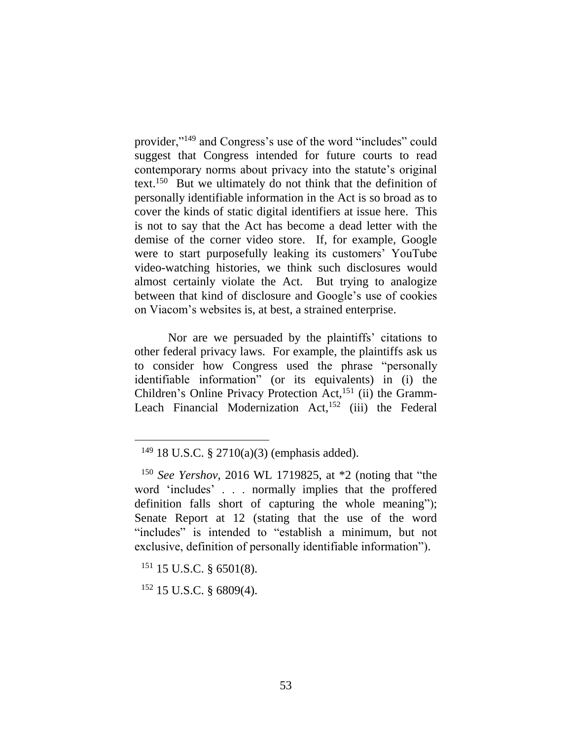provider,"<sup>149</sup> and Congress's use of the word "includes" could suggest that Congress intended for future courts to read contemporary norms about privacy into the statute's original text.<sup>150</sup> But we ultimately do not think that the definition of personally identifiable information in the Act is so broad as to cover the kinds of static digital identifiers at issue here. This is not to say that the Act has become a dead letter with the demise of the corner video store. If, for example, Google were to start purposefully leaking its customers' YouTube video-watching histories, we think such disclosures would almost certainly violate the Act. But trying to analogize between that kind of disclosure and Google's use of cookies on Viacom's websites is, at best, a strained enterprise.

Nor are we persuaded by the plaintiffs' citations to other federal privacy laws. For example, the plaintiffs ask us to consider how Congress used the phrase "personally identifiable information" (or its equivalents) in (i) the Children's Online Privacy Protection Act,<sup>151</sup> (ii) the Gramm-Leach Financial Modernization  $Act<sub>1</sub><sup>152</sup>$  (iii) the Federal

 $\overline{a}$ 

 $152$  15 U.S.C. § 6809(4).

 $149$  18 U.S.C. § 2710(a)(3) (emphasis added).

<sup>150</sup> *See Yershov*, 2016 WL 1719825, at \*2 (noting that "the word 'includes' . . . normally implies that the proffered definition falls short of capturing the whole meaning"); Senate Report at 12 (stating that the use of the word "includes" is intended to "establish a minimum, but not exclusive, definition of personally identifiable information").

 $151$  15 U.S.C. § 6501(8).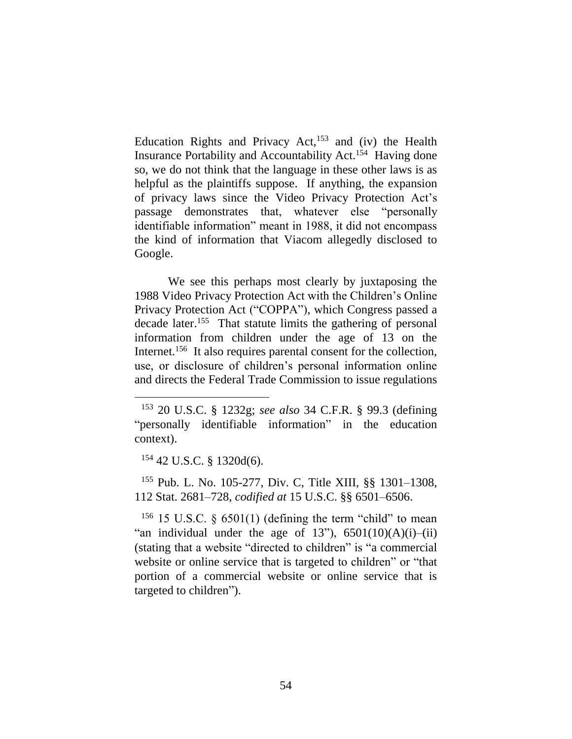Education Rights and Privacy Act, $153$  and (iv) the Health Insurance Portability and Accountability Act.<sup>154</sup> Having done so, we do not think that the language in these other laws is as helpful as the plaintiffs suppose. If anything, the expansion of privacy laws since the Video Privacy Protection Act's passage demonstrates that, whatever else "personally identifiable information" meant in 1988, it did not encompass the kind of information that Viacom allegedly disclosed to Google.

We see this perhaps most clearly by juxtaposing the 1988 Video Privacy Protection Act with the Children's Online Privacy Protection Act ("COPPA"), which Congress passed a decade later. <sup>155</sup> That statute limits the gathering of personal information from children under the age of 13 on the Internet.<sup>156</sup> It also requires parental consent for the collection, use, or disclosure of children's personal information online and directs the Federal Trade Commission to issue regulations

 $154$  42 U.S.C. § 1320d(6).

 $\overline{a}$ 

<sup>155</sup> Pub. L. No. 105-277, Div. C, Title XIII, §§ 1301–1308, 112 Stat. 2681–728, *codified at* 15 U.S.C. §§ 6501–6506.

<sup>156</sup> 15 U.S.C.  $\frac{5}{9}$  6501(1) (defining the term "child" to mean "an individual under the age of  $13$ "),  $6501(10)(A)(i)$ -(ii) (stating that a website "directed to children" is "a commercial website or online service that is targeted to children" or "that portion of a commercial website or online service that is targeted to children").

<sup>153</sup> 20 U.S.C. § 1232g; *see also* 34 C.F.R. § 99.3 (defining "personally identifiable information" in the education context).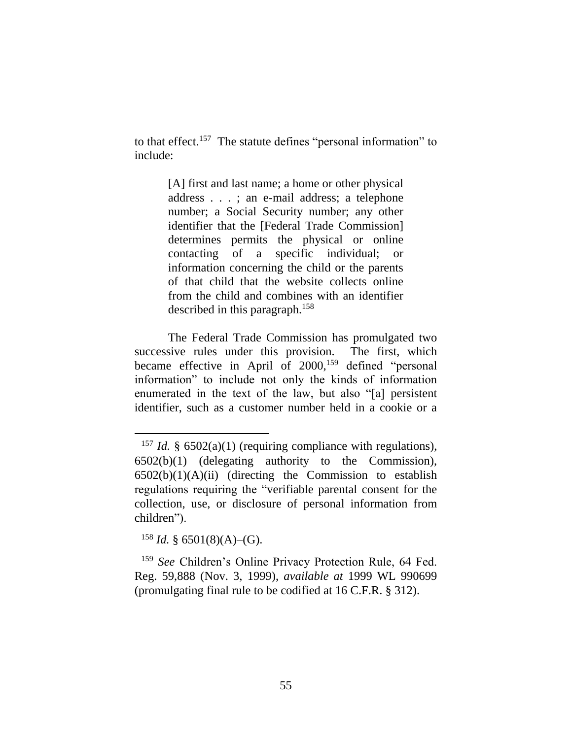to that effect.<sup>157</sup> The statute defines "personal information" to include:

> [A] first and last name; a home or other physical address . . . ; an e-mail address; a telephone number; a Social Security number; any other identifier that the [Federal Trade Commission] determines permits the physical or online contacting of a specific individual; or information concerning the child or the parents of that child that the website collects online from the child and combines with an identifier described in this paragraph.<sup>158</sup>

The Federal Trade Commission has promulgated two successive rules under this provision. The first, which became effective in April of 2000,<sup>159</sup> defined "personal" information" to include not only the kinds of information enumerated in the text of the law, but also "[a] persistent identifier, such as a customer number held in a cookie or a

 $158$  *Id.* § 6501(8)(A)–(G).

 $\overline{a}$ 

<sup>159</sup> *See* Children's Online Privacy Protection Rule, 64 Fed. Reg. 59,888 (Nov. 3, 1999), *available at* 1999 WL 990699 (promulgating final rule to be codified at 16 C.F.R. § 312).

<sup>&</sup>lt;sup>157</sup> *Id.* §  $6502(a)(1)$  (requiring compliance with regulations), 6502(b)(1) (delegating authority to the Commission),  $6502(b)(1)(A)(ii)$  (directing the Commission to establish regulations requiring the "verifiable parental consent for the collection, use, or disclosure of personal information from children").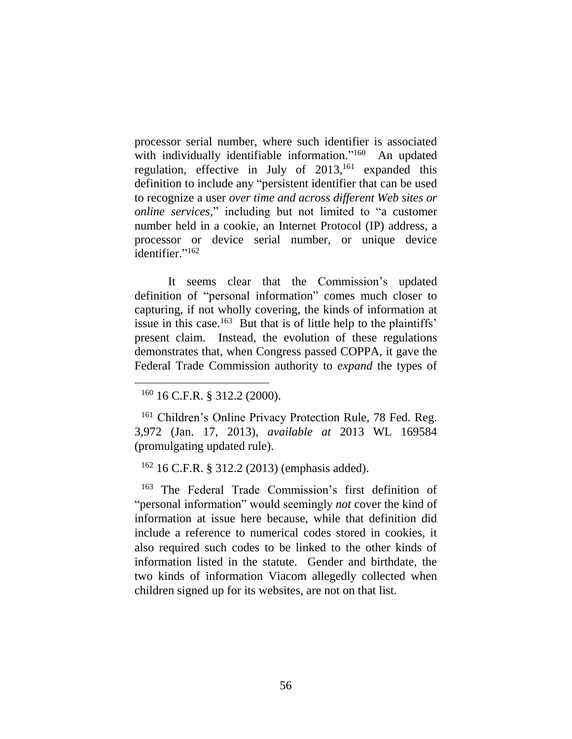processor serial number, where such identifier is associated with individually identifiable information."<sup>160</sup> An updated regulation, effective in July of  $2013$ ,<sup>161</sup> expanded this definition to include any "persistent identifier that can be used to recognize a user *over time and across different Web sites or online services*," including but not limited to "a customer number held in a cookie, an Internet Protocol (IP) address, a processor or device serial number, or unique device identifier."<sup>162</sup>

It seems clear that the Commission's updated definition of "personal information" comes much closer to capturing, if not wholly covering, the kinds of information at issue in this case.<sup>163</sup> But that is of little help to the plaintiffs' present claim. Instead, the evolution of these regulations demonstrates that, when Congress passed COPPA, it gave the Federal Trade Commission authority to *expand* the types of

 $\overline{a}$ 

<sup>162</sup> 16 C.F.R. § 312.2 (2013) (emphasis added).

<sup>163</sup> The Federal Trade Commission's first definition of "personal information" would seemingly *not* cover the kind of information at issue here because, while that definition did include a reference to numerical codes stored in cookies, it also required such codes to be linked to the other kinds of information listed in the statute. Gender and birthdate, the two kinds of information Viacom allegedly collected when children signed up for its websites, are not on that list.

 $160$  16 C.F.R. § 312.2 (2000).

<sup>161</sup> Children's Online Privacy Protection Rule, 78 Fed. Reg. 3,972 (Jan. 17, 2013), *available at* 2013 WL 169584 (promulgating updated rule).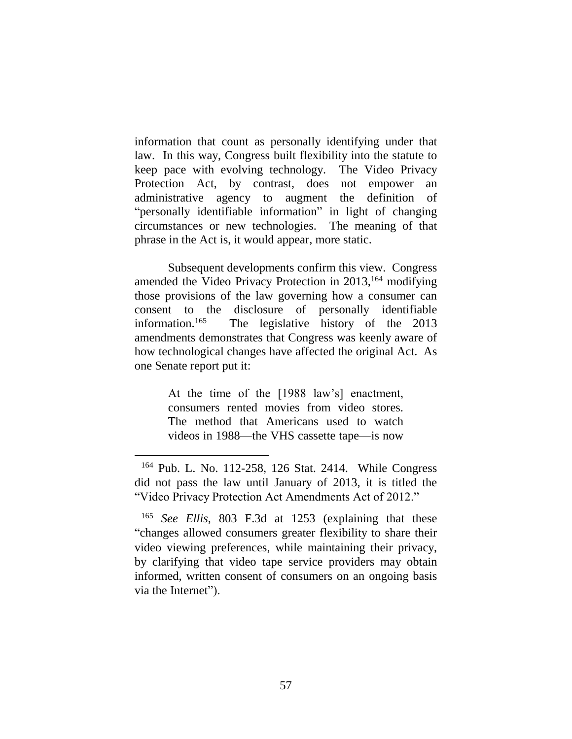information that count as personally identifying under that law. In this way, Congress built flexibility into the statute to keep pace with evolving technology. The Video Privacy Protection Act, by contrast, does not empower an administrative agency to augment the definition of "personally identifiable information" in light of changing circumstances or new technologies. The meaning of that phrase in the Act is, it would appear, more static.

Subsequent developments confirm this view. Congress amended the Video Privacy Protection in 2013, <sup>164</sup> modifying those provisions of the law governing how a consumer can consent to the disclosure of personally identifiable information.<sup>165</sup> The legislative history of the 2013 amendments demonstrates that Congress was keenly aware of how technological changes have affected the original Act. As one Senate report put it:

> At the time of the [1988 law's] enactment, consumers rented movies from video stores. The method that Americans used to watch videos in 1988—the VHS cassette tape—is now

<sup>164</sup> Pub. L. No. 112-258, 126 Stat. 2414. While Congress did not pass the law until January of 2013, it is titled the "Video Privacy Protection Act Amendments Act of 2012."

<sup>165</sup> *See Ellis*, 803 F.3d at 1253 (explaining that these "changes allowed consumers greater flexibility to share their video viewing preferences, while maintaining their privacy, by clarifying that video tape service providers may obtain informed, written consent of consumers on an ongoing basis via the Internet").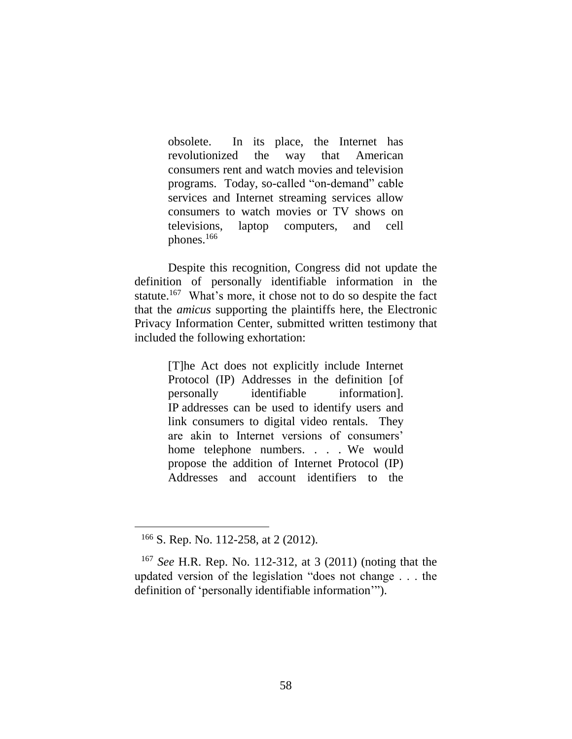obsolete. In its place, the Internet has revolutionized the way that American consumers rent and watch movies and television programs. Today, so-called "on-demand" cable services and Internet streaming services allow consumers to watch movies or TV shows on televisions, laptop computers, and cell phones.<sup>166</sup>

Despite this recognition, Congress did not update the definition of personally identifiable information in the statute.<sup>167</sup> What's more, it chose not to do so despite the fact that the *amicus* supporting the plaintiffs here, the Electronic Privacy Information Center, submitted written testimony that included the following exhortation:

> [T]he Act does not explicitly include Internet Protocol (IP) Addresses in the definition [of personally identifiable information]. IP addresses can be used to identify users and link consumers to digital video rentals. They are akin to Internet versions of consumers' home telephone numbers. . . . We would propose the addition of Internet Protocol (IP) Addresses and account identifiers to the

<sup>166</sup> S. Rep. No. 112-258, at 2 (2012).

<sup>167</sup> *See* H.R. Rep. No. 112-312, at 3 (2011) (noting that the updated version of the legislation "does not change . . . the definition of 'personally identifiable information'").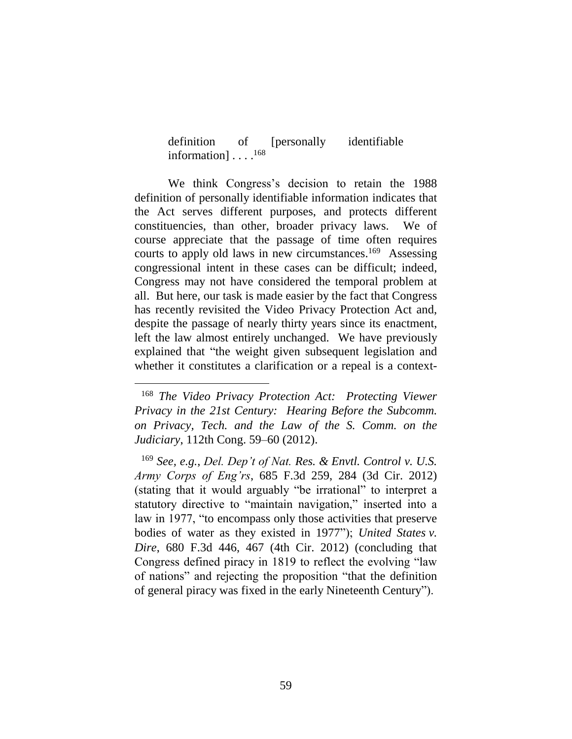definition of [personally identifiable information] . . . .<sup>168</sup>

We think Congress's decision to retain the 1988 definition of personally identifiable information indicates that the Act serves different purposes, and protects different constituencies, than other, broader privacy laws. We of course appreciate that the passage of time often requires courts to apply old laws in new circumstances.<sup>169</sup> Assessing congressional intent in these cases can be difficult; indeed, Congress may not have considered the temporal problem at all. But here, our task is made easier by the fact that Congress has recently revisited the Video Privacy Protection Act and, despite the passage of nearly thirty years since its enactment, left the law almost entirely unchanged. We have previously explained that "the weight given subsequent legislation and whether it constitutes a clarification or a repeal is a context-

<sup>168</sup> *The Video Privacy Protection Act: Protecting Viewer Privacy in the 21st Century: Hearing Before the Subcomm. on Privacy, Tech. and the Law of the S. Comm. on the Judiciary*, 112th Cong. 59–60 (2012).

<sup>169</sup> *See, e.g.*, *Del. Dep't of Nat. Res. & Envtl. Control v. U.S. Army Corps of Eng'rs*, 685 F.3d 259, 284 (3d Cir. 2012) (stating that it would arguably "be irrational" to interpret a statutory directive to "maintain navigation," inserted into a law in 1977, "to encompass only those activities that preserve bodies of water as they existed in 1977"); *United States v. Dire*, 680 F.3d 446, 467 (4th Cir. 2012) (concluding that Congress defined piracy in 1819 to reflect the evolving "law of nations" and rejecting the proposition "that the definition of general piracy was fixed in the early Nineteenth Century").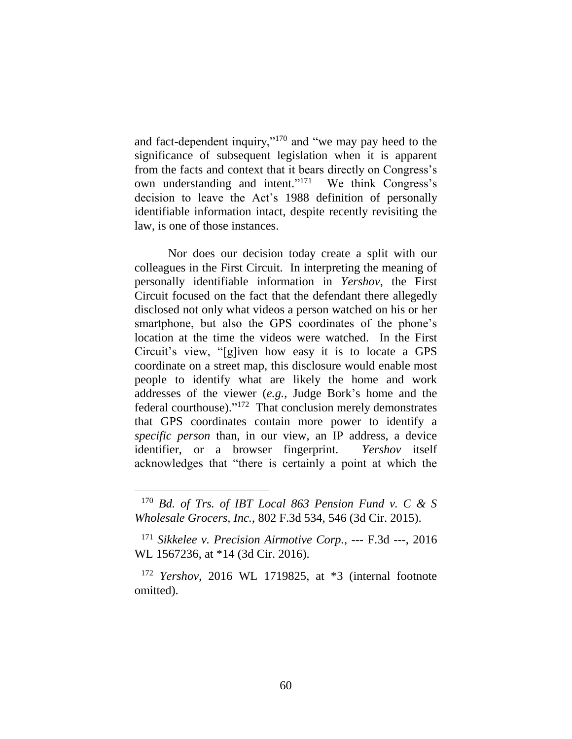and fact-dependent inquiry,"<sup>170</sup> and "we may pay heed to the significance of subsequent legislation when it is apparent from the facts and context that it bears directly on Congress's own understanding and intent."<sup>171</sup> We think Congress's decision to leave the Act's 1988 definition of personally identifiable information intact, despite recently revisiting the law, is one of those instances.

Nor does our decision today create a split with our colleagues in the First Circuit. In interpreting the meaning of personally identifiable information in *Yershov*, the First Circuit focused on the fact that the defendant there allegedly disclosed not only what videos a person watched on his or her smartphone, but also the GPS coordinates of the phone's location at the time the videos were watched. In the First Circuit's view, "[g]iven how easy it is to locate a GPS coordinate on a street map, this disclosure would enable most people to identify what are likely the home and work addresses of the viewer (*e.g.*, Judge Bork's home and the federal courthouse)."<sup>172</sup> That conclusion merely demonstrates that GPS coordinates contain more power to identify a *specific person* than, in our view, an IP address, a device identifier, or a browser fingerprint. *Yershov* itself acknowledges that "there is certainly a point at which the

<sup>170</sup> *Bd. of Trs. of IBT Local 863 Pension Fund v. C & S Wholesale Grocers, Inc.*, 802 F.3d 534, 546 (3d Cir. 2015).

<sup>171</sup> *Sikkelee v. Precision Airmotive Corp.*, --- F.3d ---, 2016 WL 1567236, at \*14 (3d Cir. 2016).

<sup>172</sup> *Yershov*, 2016 WL 1719825, at \*3 (internal footnote omitted).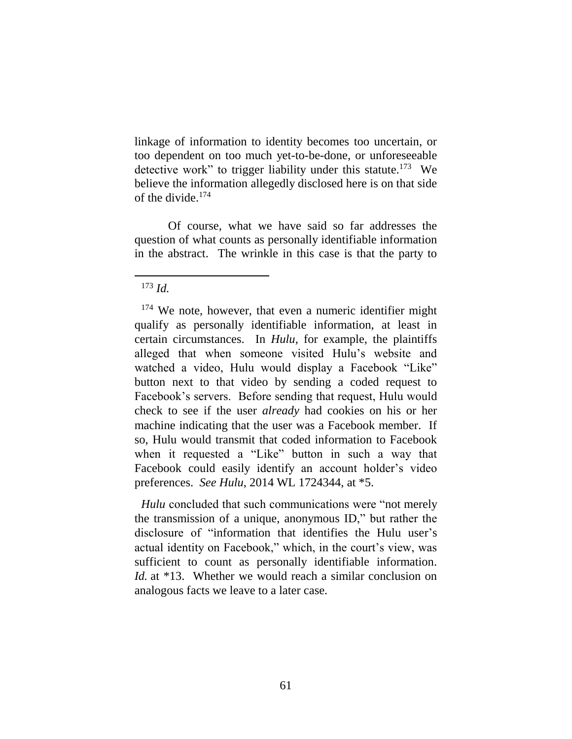linkage of information to identity becomes too uncertain, or too dependent on too much yet-to-be-done, or unforeseeable detective work" to trigger liability under this statute.<sup>173</sup> We believe the information allegedly disclosed here is on that side of the divide.<sup>174</sup>

Of course, what we have said so far addresses the question of what counts as personally identifiable information in the abstract. The wrinkle in this case is that the party to

 $\overline{a}$ 

*Hulu* concluded that such communications were "not merely the transmission of a unique, anonymous ID," but rather the disclosure of "information that identifies the Hulu user's actual identity on Facebook," which, in the court's view, was sufficient to count as personally identifiable information. *Id.* at \*13. Whether we would reach a similar conclusion on analogous facts we leave to a later case.

 $173$  *Id.* 

<sup>&</sup>lt;sup>174</sup> We note, however, that even a numeric identifier might qualify as personally identifiable information, at least in certain circumstances. In *Hulu*, for example, the plaintiffs alleged that when someone visited Hulu's website and watched a video, Hulu would display a Facebook "Like" button next to that video by sending a coded request to Facebook's servers. Before sending that request, Hulu would check to see if the user *already* had cookies on his or her machine indicating that the user was a Facebook member. If so, Hulu would transmit that coded information to Facebook when it requested a "Like" button in such a way that Facebook could easily identify an account holder's video preferences. *See Hulu*, 2014 WL 1724344, at \*5.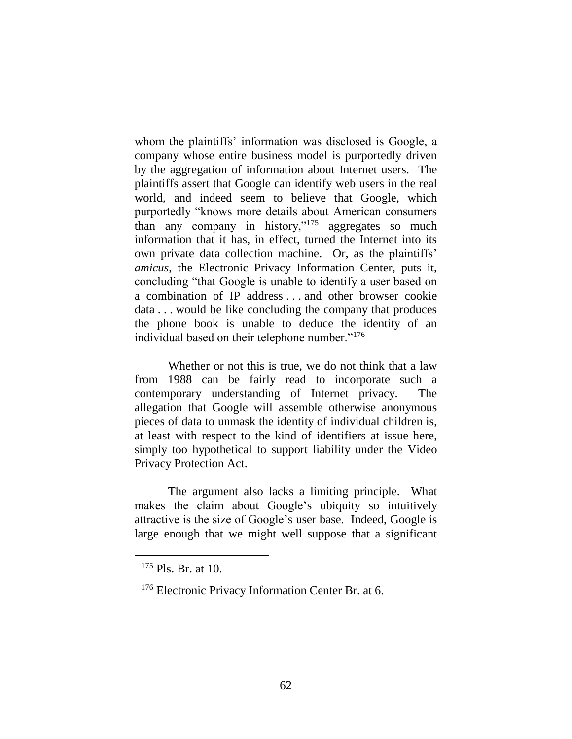whom the plaintiffs' information was disclosed is Google, a company whose entire business model is purportedly driven by the aggregation of information about Internet users. The plaintiffs assert that Google can identify web users in the real world, and indeed seem to believe that Google, which purportedly "knows more details about American consumers than any company in history,"<sup>175</sup> aggregates so much information that it has, in effect, turned the Internet into its own private data collection machine. Or, as the plaintiffs' *amicus*, the Electronic Privacy Information Center, puts it, concluding "that Google is unable to identify a user based on a combination of IP address . . . and other browser cookie data . . . would be like concluding the company that produces the phone book is unable to deduce the identity of an individual based on their telephone number."<sup>176</sup>

Whether or not this is true, we do not think that a law from 1988 can be fairly read to incorporate such a contemporary understanding of Internet privacy. The allegation that Google will assemble otherwise anonymous pieces of data to unmask the identity of individual children is, at least with respect to the kind of identifiers at issue here, simply too hypothetical to support liability under the Video Privacy Protection Act.

The argument also lacks a limiting principle. What makes the claim about Google's ubiquity so intuitively attractive is the size of Google's user base. Indeed, Google is large enough that we might well suppose that a significant

 $175$  Pls. Br. at 10.

<sup>&</sup>lt;sup>176</sup> Electronic Privacy Information Center Br. at 6.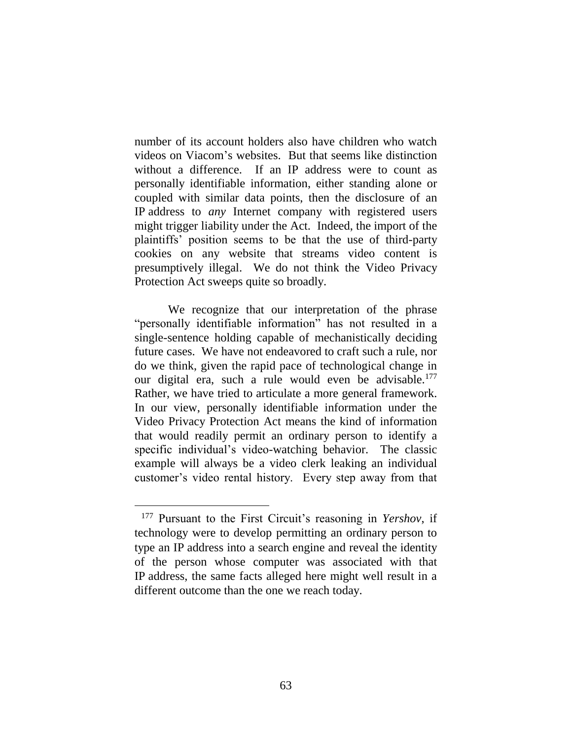number of its account holders also have children who watch videos on Viacom's websites. But that seems like distinction without a difference. If an IP address were to count as personally identifiable information, either standing alone or coupled with similar data points, then the disclosure of an IP address to *any* Internet company with registered users might trigger liability under the Act. Indeed, the import of the plaintiffs' position seems to be that the use of third-party cookies on any website that streams video content is presumptively illegal. We do not think the Video Privacy Protection Act sweeps quite so broadly.

We recognize that our interpretation of the phrase "personally identifiable information" has not resulted in a single-sentence holding capable of mechanistically deciding future cases. We have not endeavored to craft such a rule, nor do we think, given the rapid pace of technological change in our digital era, such a rule would even be advisable.<sup>177</sup> Rather, we have tried to articulate a more general framework. In our view, personally identifiable information under the Video Privacy Protection Act means the kind of information that would readily permit an ordinary person to identify a specific individual's video-watching behavior. The classic example will always be a video clerk leaking an individual customer's video rental history. Every step away from that

<sup>177</sup> Pursuant to the First Circuit's reasoning in *Yershov*, if technology were to develop permitting an ordinary person to type an IP address into a search engine and reveal the identity of the person whose computer was associated with that IP address, the same facts alleged here might well result in a different outcome than the one we reach today.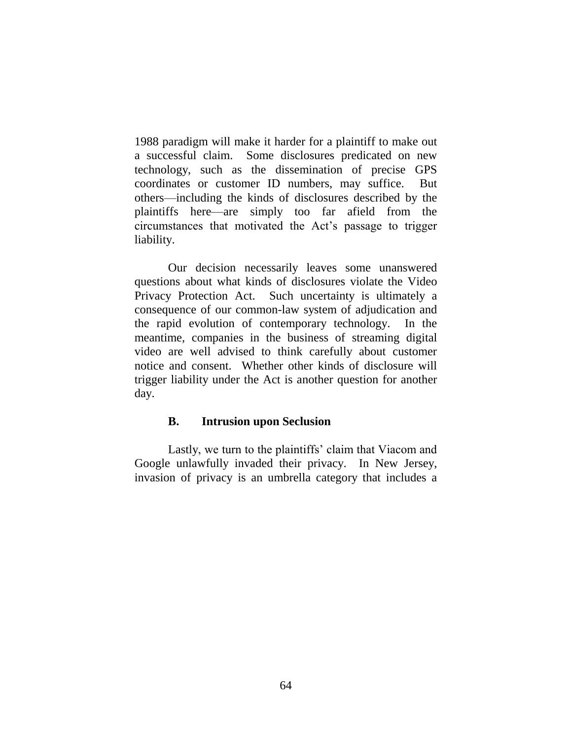1988 paradigm will make it harder for a plaintiff to make out a successful claim. Some disclosures predicated on new technology, such as the dissemination of precise GPS coordinates or customer ID numbers, may suffice. But others—including the kinds of disclosures described by the plaintiffs here—are simply too far afield from the circumstances that motivated the Act's passage to trigger liability.

Our decision necessarily leaves some unanswered questions about what kinds of disclosures violate the Video Privacy Protection Act. Such uncertainty is ultimately a consequence of our common-law system of adjudication and the rapid evolution of contemporary technology. In the meantime, companies in the business of streaming digital video are well advised to think carefully about customer notice and consent. Whether other kinds of disclosure will trigger liability under the Act is another question for another day.

#### **B. Intrusion upon Seclusion**

Lastly, we turn to the plaintiffs' claim that Viacom and Google unlawfully invaded their privacy. In New Jersey, invasion of privacy is an umbrella category that includes a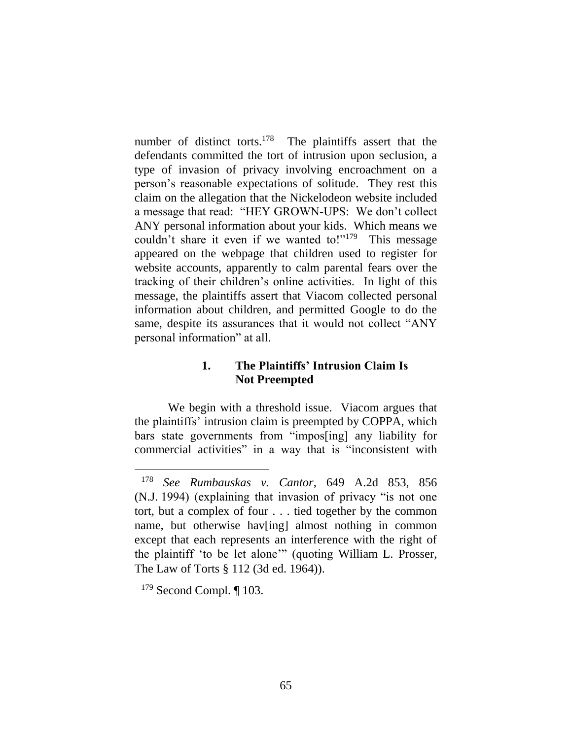number of distinct torts.<sup>178</sup> The plaintiffs assert that the defendants committed the tort of intrusion upon seclusion, a type of invasion of privacy involving encroachment on a person's reasonable expectations of solitude. They rest this claim on the allegation that the Nickelodeon website included a message that read: "HEY GROWN-UPS: We don't collect ANY personal information about your kids. Which means we couldn't share it even if we wanted to!"<sup>179</sup> This message appeared on the webpage that children used to register for website accounts, apparently to calm parental fears over the tracking of their children's online activities. In light of this message, the plaintiffs assert that Viacom collected personal information about children, and permitted Google to do the same, despite its assurances that it would not collect "ANY personal information" at all.

# **1. The Plaintiffs' Intrusion Claim Is Not Preempted**

We begin with a threshold issue. Viacom argues that the plaintiffs' intrusion claim is preempted by COPPA, which bars state governments from "impos[ing] any liability for commercial activities" in a way that is "inconsistent with

<sup>178</sup> *See Rumbauskas v. Cantor*, 649 A.2d 853, 856 (N.J. 1994) (explaining that invasion of privacy "is not one tort, but a complex of four . . . tied together by the common name, but otherwise hav[ing] almost nothing in common except that each represents an interference with the right of the plaintiff 'to be let alone'" (quoting William L. Prosser, The Law of Torts § 112 (3d ed. 1964)).

 $179$  Second Compl.  $\P$  103.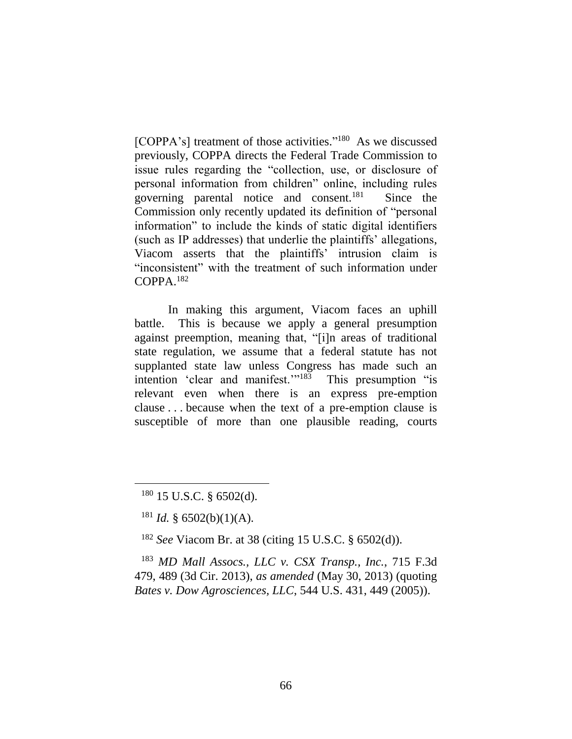[COPPA's] treatment of those activities."<sup>180</sup> As we discussed previously, COPPA directs the Federal Trade Commission to issue rules regarding the "collection, use, or disclosure of personal information from children" online, including rules governing parental notice and consent.<sup>181</sup> Since the Commission only recently updated its definition of "personal information" to include the kinds of static digital identifiers (such as IP addresses) that underlie the plaintiffs' allegations, Viacom asserts that the plaintiffs' intrusion claim is "inconsistent" with the treatment of such information under COPPA. 182

In making this argument, Viacom faces an uphill battle. This is because we apply a general presumption against preemption, meaning that, "[i]n areas of traditional state regulation, we assume that a federal statute has not supplanted state law unless Congress has made such an intention 'clear and manifest."<sup>183</sup> This presumption "is relevant even when there is an express pre-emption clause . . . because when the text of a pre-emption clause is susceptible of more than one plausible reading, courts

 $\overline{a}$ 

<sup>182</sup> *See* Viacom Br. at 38 (citing 15 U.S.C. § 6502(d)).

<sup>183</sup> *MD Mall Assocs., LLC v. CSX Transp., Inc.*, 715 F.3d 479, 489 (3d Cir. 2013), *as amended* (May 30, 2013) (quoting *Bates v. Dow Agrosciences, LLC*, 544 U.S. 431, 449 (2005)).

 $180$  15 U.S.C. § 6502(d).

 $181$  *Id.* § 6502(b)(1)(A).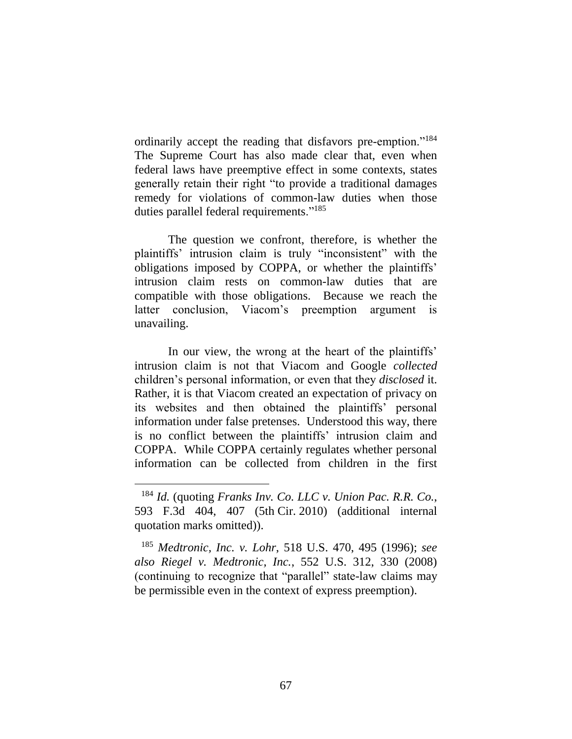ordinarily accept the reading that disfavors pre-emption."<sup>184</sup> The Supreme Court has also made clear that, even when federal laws have preemptive effect in some contexts, states generally retain their right "to provide a traditional damages remedy for violations of common-law duties when those duties parallel federal requirements."<sup>185</sup>

The question we confront, therefore, is whether the plaintiffs' intrusion claim is truly "inconsistent" with the obligations imposed by COPPA, or whether the plaintiffs' intrusion claim rests on common-law duties that are compatible with those obligations. Because we reach the latter conclusion, Viacom's preemption argument is unavailing.

In our view, the wrong at the heart of the plaintiffs' intrusion claim is not that Viacom and Google *collected* children's personal information, or even that they *disclosed* it. Rather, it is that Viacom created an expectation of privacy on its websites and then obtained the plaintiffs' personal information under false pretenses. Understood this way, there is no conflict between the plaintiffs' intrusion claim and COPPA. While COPPA certainly regulates whether personal information can be collected from children in the first

<sup>184</sup> *Id.* (quoting *Franks Inv. Co. LLC v. Union Pac. R.R. Co.*, 593 F.3d 404, 407 (5th Cir. 2010) (additional internal quotation marks omitted)).

<sup>185</sup> *Medtronic, Inc. v. Lohr*, 518 U.S. 470, 495 (1996); *see also Riegel v. Medtronic, Inc.*, 552 U.S. 312, 330 (2008) (continuing to recognize that "parallel" state-law claims may be permissible even in the context of express preemption).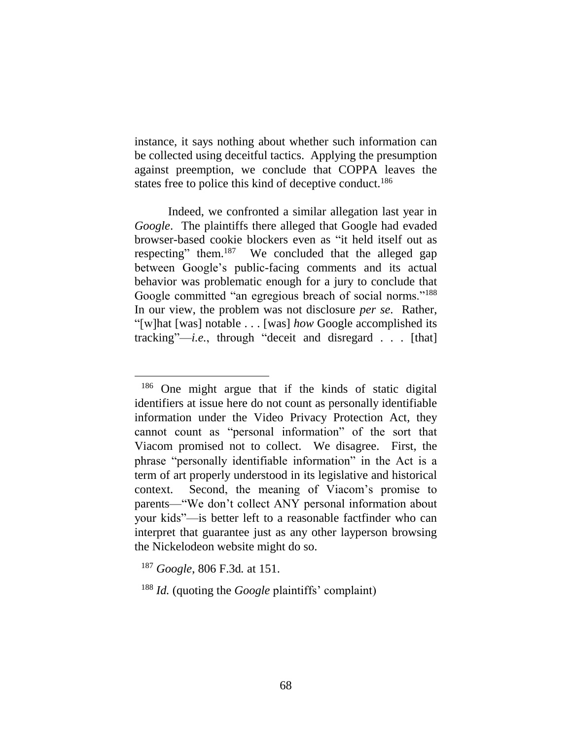instance, it says nothing about whether such information can be collected using deceitful tactics. Applying the presumption against preemption, we conclude that COPPA leaves the states free to police this kind of deceptive conduct.<sup>186</sup>

Indeed, we confronted a similar allegation last year in *Google*. The plaintiffs there alleged that Google had evaded browser-based cookie blockers even as "it held itself out as respecting" them.<sup>187</sup> We concluded that the alleged gap between Google's public-facing comments and its actual behavior was problematic enough for a jury to conclude that Google committed "an egregious breach of social norms."<sup>188</sup> In our view, the problem was not disclosure *per se*. Rather, "[w]hat [was] notable . . . [was] *how* Google accomplished its tracking"—*i.e.*, through "deceit and disregard . . . [that]

<sup>186</sup> One might argue that if the kinds of static digital identifiers at issue here do not count as personally identifiable information under the Video Privacy Protection Act, they cannot count as "personal information" of the sort that Viacom promised not to collect. We disagree. First, the phrase "personally identifiable information" in the Act is a term of art properly understood in its legislative and historical context. Second, the meaning of Viacom's promise to parents—"We don't collect ANY personal information about your kids"—is better left to a reasonable factfinder who can interpret that guarantee just as any other layperson browsing the Nickelodeon website might do so.

<sup>187</sup> *Google*, 806 F.3d*.* at 151.

<sup>188</sup> *Id.* (quoting the *Google* plaintiffs' complaint)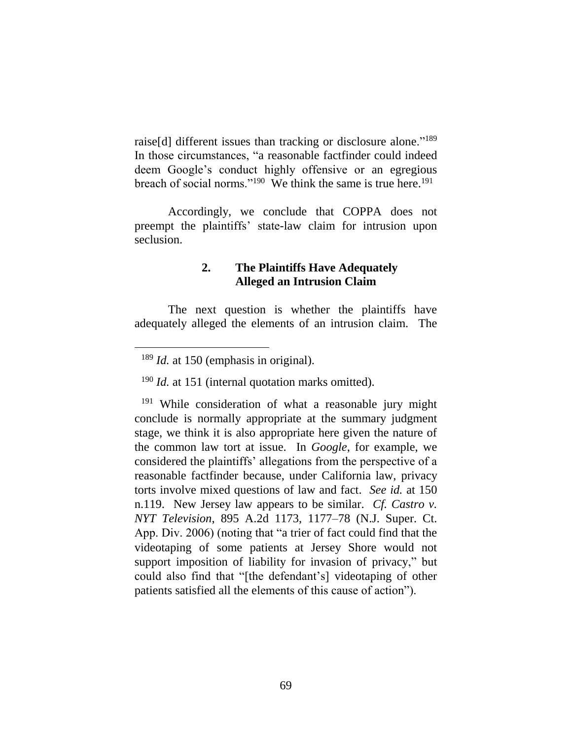raise[d] different issues than tracking or disclosure alone."<sup>189</sup> In those circumstances, "a reasonable factfinder could indeed deem Google's conduct highly offensive or an egregious breach of social norms."<sup>190</sup> We think the same is true here.<sup>191</sup>

Accordingly, we conclude that COPPA does not preempt the plaintiffs' state-law claim for intrusion upon seclusion.

# **2. The Plaintiffs Have Adequately Alleged an Intrusion Claim**

The next question is whether the plaintiffs have adequately alleged the elements of an intrusion claim. The

 $\overline{a}$ 

<sup>190</sup> *Id.* at 151 (internal quotation marks omitted).

<sup>191</sup> While consideration of what a reasonable jury might conclude is normally appropriate at the summary judgment stage, we think it is also appropriate here given the nature of the common law tort at issue. In *Google*, for example, we considered the plaintiffs' allegations from the perspective of a reasonable factfinder because, under California law, privacy torts involve mixed questions of law and fact. *See id.* at 150 n.119. New Jersey law appears to be similar. *Cf. Castro v. NYT Television*, 895 A.2d 1173, 1177–78 (N.J. Super. Ct. App. Div. 2006) (noting that "a trier of fact could find that the videotaping of some patients at Jersey Shore would not support imposition of liability for invasion of privacy," but could also find that "[the defendant's] videotaping of other patients satisfied all the elements of this cause of action").

<sup>&</sup>lt;sup>189</sup> *Id.* at 150 (emphasis in original).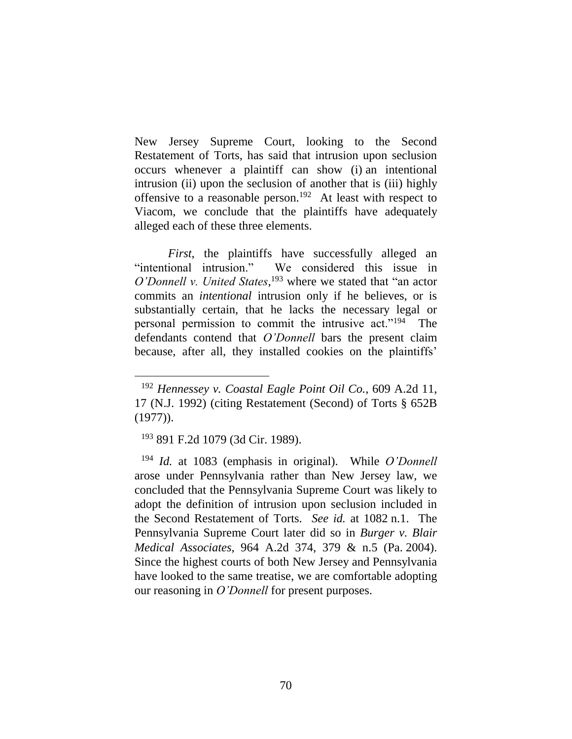New Jersey Supreme Court, looking to the Second Restatement of Torts, has said that intrusion upon seclusion occurs whenever a plaintiff can show (i) an intentional intrusion (ii) upon the seclusion of another that is (iii) highly offensive to a reasonable person.<sup>192</sup> At least with respect to Viacom, we conclude that the plaintiffs have adequately alleged each of these three elements.

*First*, the plaintiffs have successfully alleged an "intentional intrusion." We considered this issue in *O'Donnell v. United States*, <sup>193</sup> where we stated that "an actor commits an *intentional* intrusion only if he believes, or is substantially certain, that he lacks the necessary legal or personal permission to commit the intrusive act."<sup>194</sup> The defendants contend that *O'Donnell* bars the present claim because, after all, they installed cookies on the plaintiffs'

<sup>193</sup> 891 F.2d 1079 (3d Cir. 1989).

 $\overline{a}$ 

<sup>194</sup> *Id.* at 1083 (emphasis in original). While *O'Donnell*  arose under Pennsylvania rather than New Jersey law, we concluded that the Pennsylvania Supreme Court was likely to adopt the definition of intrusion upon seclusion included in the Second Restatement of Torts. *See id.* at 1082 n.1. The Pennsylvania Supreme Court later did so in *Burger v. Blair Medical Associates*, 964 A.2d 374, 379 & n.5 (Pa. 2004). Since the highest courts of both New Jersey and Pennsylvania have looked to the same treatise, we are comfortable adopting our reasoning in *O'Donnell* for present purposes.

<sup>192</sup> *Hennessey v. Coastal Eagle Point Oil Co.*, 609 A.2d 11, 17 (N.J. 1992) (citing Restatement (Second) of Torts § 652B (1977)).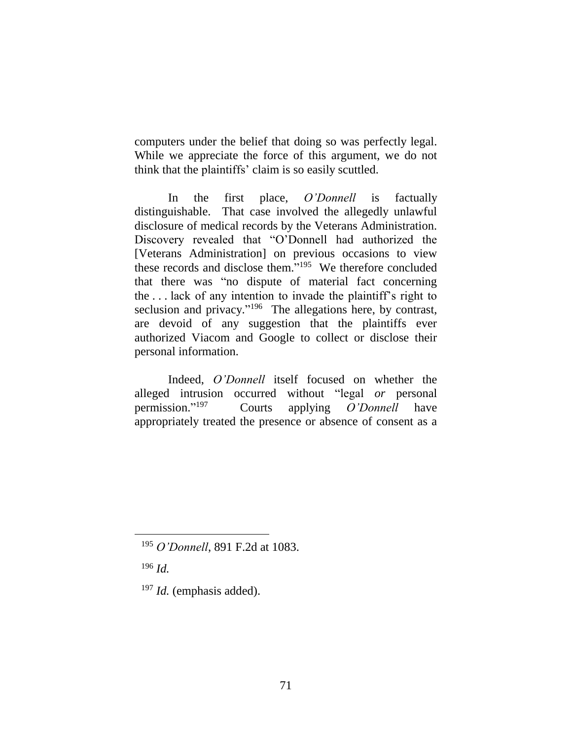computers under the belief that doing so was perfectly legal. While we appreciate the force of this argument, we do not think that the plaintiffs' claim is so easily scuttled.

In the first place, *O'Donnell* is factually distinguishable. That case involved the allegedly unlawful disclosure of medical records by the Veterans Administration. Discovery revealed that "O'Donnell had authorized the [Veterans Administration] on previous occasions to view these records and disclose them." 195 We therefore concluded that there was "no dispute of material fact concerning the . . . lack of any intention to invade the plaintiff's right to seclusion and privacy."<sup>196</sup> The allegations here, by contrast, are devoid of any suggestion that the plaintiffs ever authorized Viacom and Google to collect or disclose their personal information.

Indeed, *O'Donnell* itself focused on whether the alleged intrusion occurred without "legal *or* personal permission." 197 Courts applying *O'Donnell* have appropriately treated the presence or absence of consent as a

<sup>196</sup> *Id.*

 $\overline{a}$ 

<sup>197</sup> *Id.* (emphasis added).

<sup>195</sup> *O'Donnell*, 891 F.2d at 1083.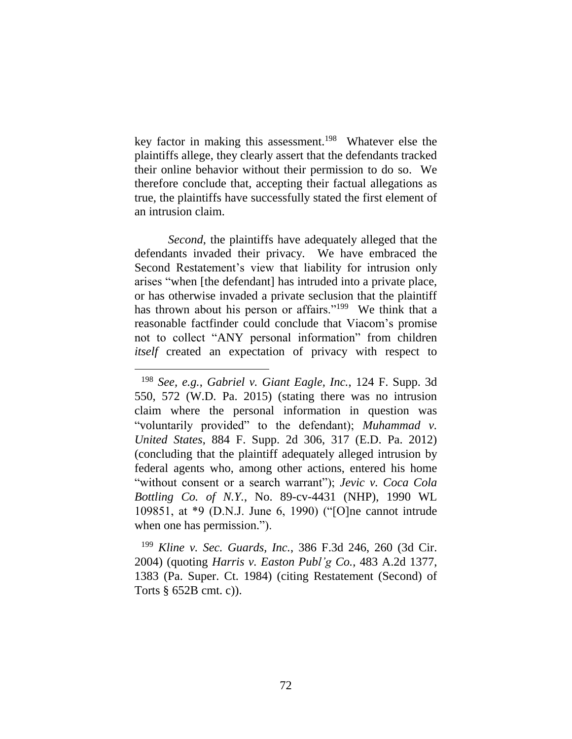key factor in making this assessment. 198 Whatever else the plaintiffs allege, they clearly assert that the defendants tracked their online behavior without their permission to do so. We therefore conclude that, accepting their factual allegations as true, the plaintiffs have successfully stated the first element of an intrusion claim.

*Second*, the plaintiffs have adequately alleged that the defendants invaded their privacy. We have embraced the Second Restatement's view that liability for intrusion only arises "when [the defendant] has intruded into a private place, or has otherwise invaded a private seclusion that the plaintiff has thrown about his person or affairs."<sup>199</sup> We think that a reasonable factfinder could conclude that Viacom's promise not to collect "ANY personal information" from children *itself* created an expectation of privacy with respect to

 $\overline{a}$ 

<sup>199</sup> *Kline v. Sec. Guards, Inc.*, 386 F.3d 246, 260 (3d Cir. 2004) (quoting *Harris v. Easton Publ'g Co.*, 483 A.2d 1377, 1383 (Pa. Super. Ct. 1984) (citing Restatement (Second) of Torts § 652B cmt. c)).

<sup>198</sup> *See, e.g.*, *Gabriel v. Giant Eagle, Inc.*, 124 F. Supp. 3d 550, 572 (W.D. Pa. 2015) (stating there was no intrusion claim where the personal information in question was "voluntarily provided" to the defendant); *Muhammad v. United States*, 884 F. Supp. 2d 306, 317 (E.D. Pa. 2012) (concluding that the plaintiff adequately alleged intrusion by federal agents who, among other actions, entered his home "without consent or a search warrant"); *Jevic v. Coca Cola Bottling Co. of N.Y.*, No. 89-cv-4431 (NHP), 1990 WL 109851, at \*9 (D.N.J. June 6, 1990) ("[O]ne cannot intrude when one has permission.").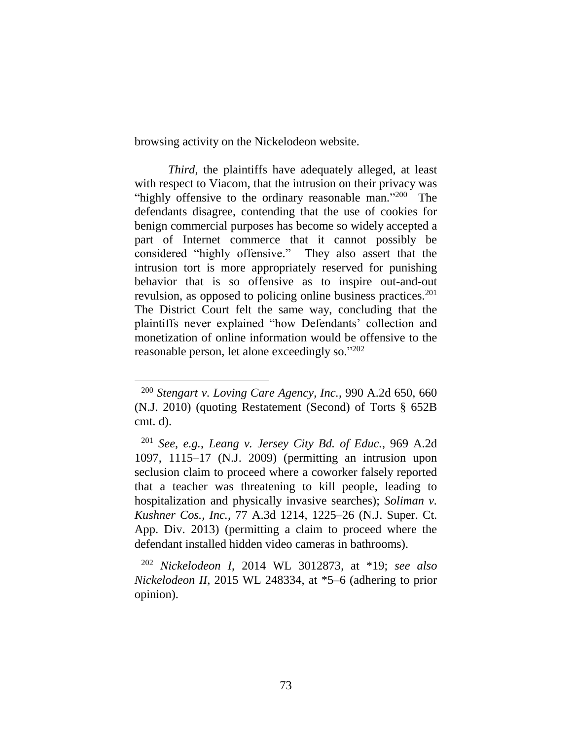browsing activity on the Nickelodeon website.

*Third*, the plaintiffs have adequately alleged, at least with respect to Viacom, that the intrusion on their privacy was "highly offensive to the ordinary reasonable man."200 The defendants disagree, contending that the use of cookies for benign commercial purposes has become so widely accepted a part of Internet commerce that it cannot possibly be considered "highly offensive." They also assert that the intrusion tort is more appropriately reserved for punishing behavior that is so offensive as to inspire out-and-out revulsion, as opposed to policing online business practices.<sup>201</sup> The District Court felt the same way, concluding that the plaintiffs never explained "how Defendants' collection and monetization of online information would be offensive to the reasonable person, let alone exceedingly so."202

 $\overline{a}$ 

<sup>200</sup> *Stengart v. Loving Care Agency, Inc.*, 990 A.2d 650, 660 (N.J. 2010) (quoting Restatement (Second) of Torts § 652B cmt. d).

<sup>201</sup> *See, e.g.*, *Leang v. Jersey City Bd. of Educ.*, 969 A.2d 1097, 1115–17 (N.J. 2009) (permitting an intrusion upon seclusion claim to proceed where a coworker falsely reported that a teacher was threatening to kill people, leading to hospitalization and physically invasive searches); *Soliman v. Kushner Cos., Inc.*, 77 A.3d 1214, 1225–26 (N.J. Super. Ct. App. Div. 2013) (permitting a claim to proceed where the defendant installed hidden video cameras in bathrooms).

<sup>202</sup> *Nickelodeon I*, 2014 WL 3012873, at \*19; *see also Nickelodeon II*, 2015 WL 248334, at \*5–6 (adhering to prior opinion).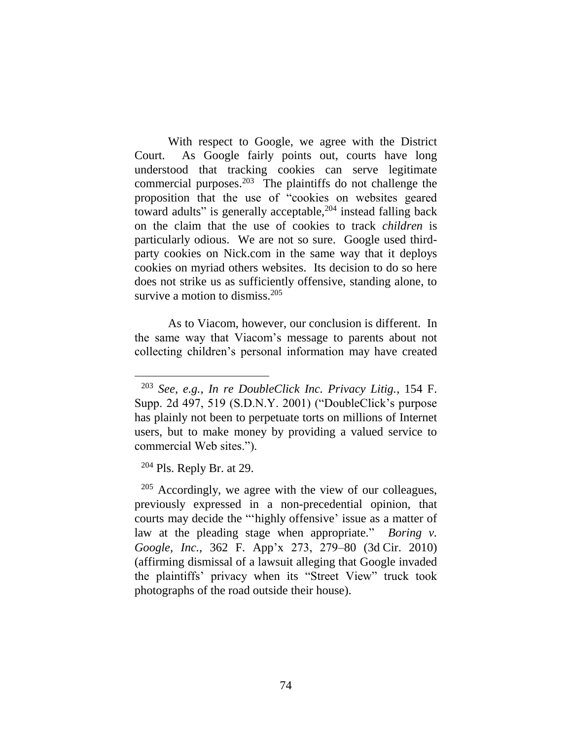With respect to Google, we agree with the District Court. As Google fairly points out, courts have long understood that tracking cookies can serve legitimate commercial purposes.<sup>203</sup> The plaintiffs do not challenge the proposition that the use of "cookies on websites geared toward adults" is generally acceptable,<sup>204</sup> instead falling back on the claim that the use of cookies to track *children* is particularly odious. We are not so sure. Google used thirdparty cookies on Nick.com in the same way that it deploys cookies on myriad others websites. Its decision to do so here does not strike us as sufficiently offensive, standing alone, to survive a motion to dismiss. $205$ 

As to Viacom, however, our conclusion is different. In the same way that Viacom's message to parents about not collecting children's personal information may have created

 $204$  Pls. Reply Br. at 29.

 $\overline{a}$ 

<sup>205</sup> Accordingly, we agree with the view of our colleagues, previously expressed in a non-precedential opinion, that courts may decide the "'highly offensive' issue as a matter of law at the pleading stage when appropriate." *Boring v. Google, Inc.*, 362 F. App'x 273, 279–80 (3d Cir. 2010) (affirming dismissal of a lawsuit alleging that Google invaded the plaintiffs' privacy when its "Street View" truck took photographs of the road outside their house).

<sup>203</sup> *See, e.g.*, *In re DoubleClick Inc. Privacy Litig.*, 154 F. Supp. 2d 497, 519 (S.D.N.Y. 2001) ("DoubleClick's purpose has plainly not been to perpetuate torts on millions of Internet users, but to make money by providing a valued service to commercial Web sites.").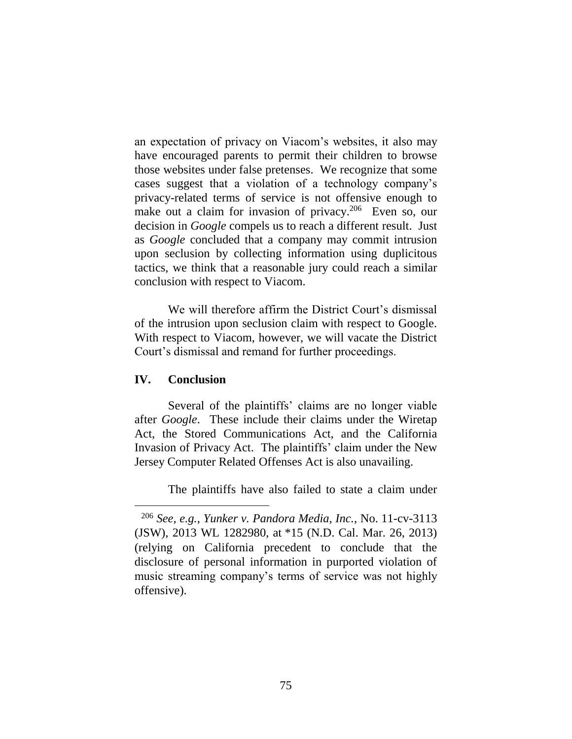an expectation of privacy on Viacom's websites, it also may have encouraged parents to permit their children to browse those websites under false pretenses. We recognize that some cases suggest that a violation of a technology company's privacy-related terms of service is not offensive enough to make out a claim for invasion of privacy.<sup>206</sup> Even so, our decision in *Google* compels us to reach a different result. Just as *Google* concluded that a company may commit intrusion upon seclusion by collecting information using duplicitous tactics, we think that a reasonable jury could reach a similar conclusion with respect to Viacom.

We will therefore affirm the District Court's dismissal of the intrusion upon seclusion claim with respect to Google. With respect to Viacom, however, we will vacate the District Court's dismissal and remand for further proceedings.

## **IV. Conclusion**

 $\overline{a}$ 

Several of the plaintiffs' claims are no longer viable after *Google*. These include their claims under the Wiretap Act, the Stored Communications Act, and the California Invasion of Privacy Act. The plaintiffs' claim under the New Jersey Computer Related Offenses Act is also unavailing.

The plaintiffs have also failed to state a claim under

<sup>206</sup> *See, e.g.*, *Yunker v. Pandora Media, Inc.*, No. 11-cv-3113 (JSW), 2013 WL 1282980, at \*15 (N.D. Cal. Mar. 26, 2013) (relying on California precedent to conclude that the disclosure of personal information in purported violation of music streaming company's terms of service was not highly offensive).